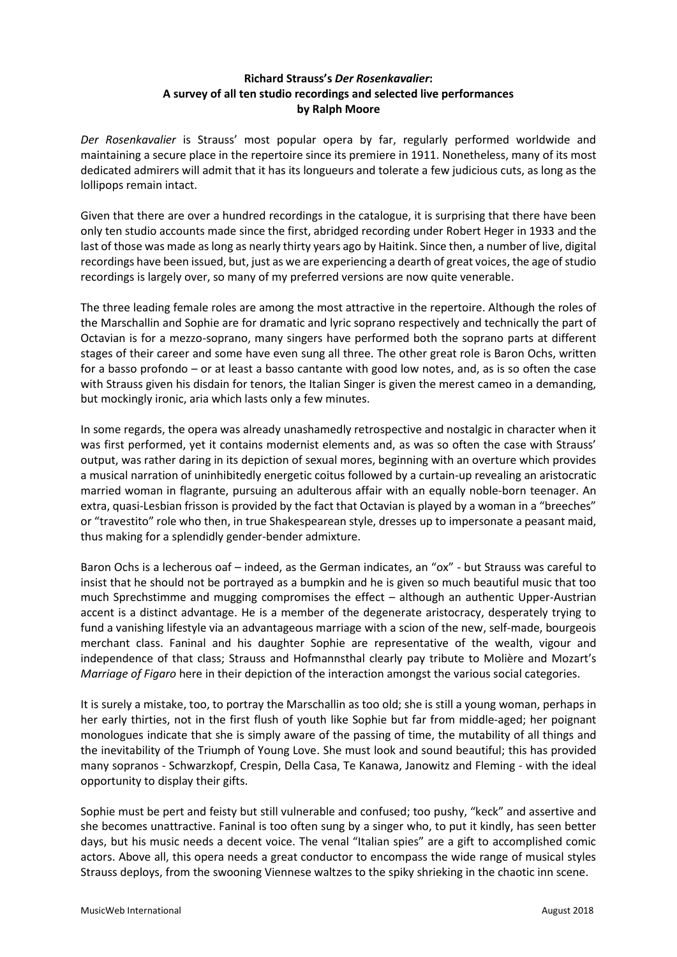# **Richard Strauss's** *Der Rosenkavalier***: A survey of all ten studio recordings and selected live performances by Ralph Moore**

*Der Rosenkavalier* is Strauss' most popular opera by far, regularly performed worldwide and maintaining a secure place in the repertoire since its premiere in 1911. Nonetheless, many of its most dedicated admirers will admit that it has its longueurs and tolerate a few judicious cuts, as long as the lollipops remain intact.

Given that there are over a hundred recordings in the catalogue, it is surprising that there have been only ten studio accounts made since the first, abridged recording under Robert Heger in 1933 and the last of those was made as long as nearly thirty years ago by Haitink. Since then, a number of live, digital recordings have been issued, but, just as we are experiencing a dearth of great voices, the age of studio recordings is largely over, so many of my preferred versions are now quite venerable.

The three leading female roles are among the most attractive in the repertoire. Although the roles of the Marschallin and Sophie are for dramatic and lyric soprano respectively and technically the part of Octavian is for a mezzo-soprano, many singers have performed both the soprano parts at different stages of their career and some have even sung all three. The other great role is Baron Ochs, written for a basso profondo – or at least a basso cantante with good low notes, and, as is so often the case with Strauss given his disdain for tenors, the Italian Singer is given the merest cameo in a demanding, but mockingly ironic, aria which lasts only a few minutes.

In some regards, the opera was already unashamedly retrospective and nostalgic in character when it was first performed, yet it contains modernist elements and, as was so often the case with Strauss' output, was rather daring in its depiction of sexual mores, beginning with an overture which provides a musical narration of uninhibitedly energetic coitus followed by a curtain-up revealing an aristocratic married woman in flagrante, pursuing an adulterous affair with an equally noble-born teenager. An extra, quasi-Lesbian frisson is provided by the fact that Octavian is played by a woman in a "breeches" or "travestito" role who then, in true Shakespearean style, dresses up to impersonate a peasant maid, thus making for a splendidly gender-bender admixture.

Baron Ochs is a lecherous oaf – indeed, as the German indicates, an "ox" - but Strauss was careful to insist that he should not be portrayed as a bumpkin and he is given so much beautiful music that too much Sprechstimme and mugging compromises the effect – although an authentic Upper-Austrian accent is a distinct advantage. He is a member of the degenerate aristocracy, desperately trying to fund a vanishing lifestyle via an advantageous marriage with a scion of the new, self-made, bourgeois merchant class. Faninal and his daughter Sophie are representative of the wealth, vigour and independence of that class; Strauss and Hofmannsthal clearly pay tribute to Molière and Mozart's *Marriage of Figaro* here in their depiction of the interaction amongst the various social categories.

It is surely a mistake, too, to portray the Marschallin as too old; she is still a young woman, perhaps in her early thirties, not in the first flush of youth like Sophie but far from middle-aged; her poignant monologues indicate that she is simply aware of the passing of time, the mutability of all things and the inevitability of the Triumph of Young Love. She must look and sound beautiful; this has provided many sopranos - Schwarzkopf, Crespin, Della Casa, Te Kanawa, Janowitz and Fleming - with the ideal opportunity to display their gifts.

Sophie must be pert and feisty but still vulnerable and confused; too pushy, "keck" and assertive and she becomes unattractive. Faninal is too often sung by a singer who, to put it kindly, has seen better days, but his music needs a decent voice. The venal "Italian spies" are a gift to accomplished comic actors. Above all, this opera needs a great conductor to encompass the wide range of musical styles Strauss deploys, from the swooning Viennese waltzes to the spiky shrieking in the chaotic inn scene.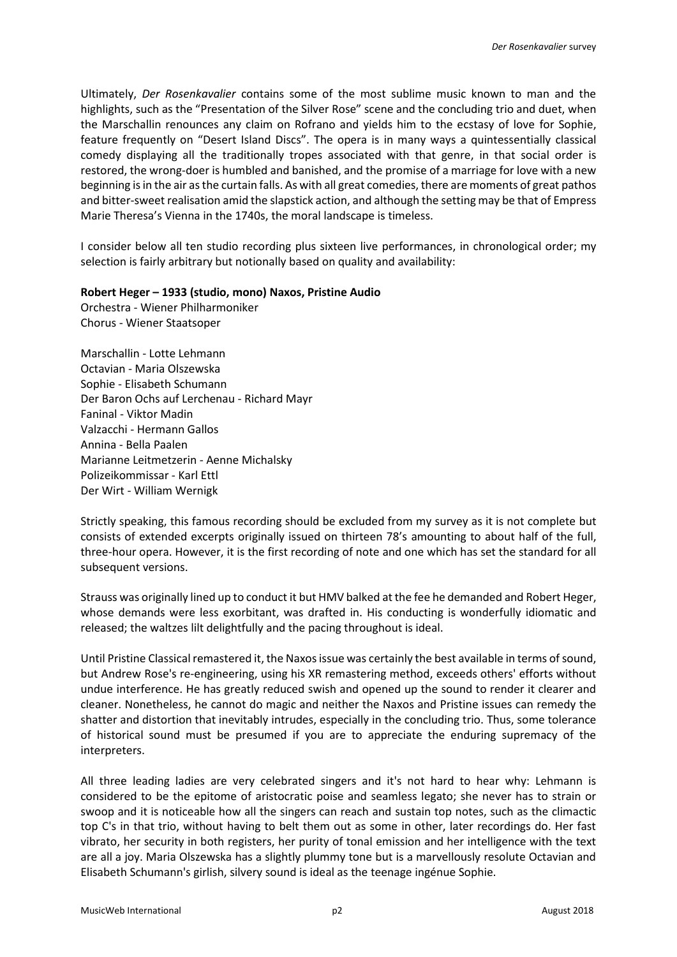Ultimately, *Der Rosenkavalier* contains some of the most sublime music known to man and the highlights, such as the "Presentation of the Silver Rose" scene and the concluding trio and duet, when the Marschallin renounces any claim on Rofrano and yields him to the ecstasy of love for Sophie, feature frequently on "Desert Island Discs". The opera is in many ways a quintessentially classical comedy displaying all the traditionally tropes associated with that genre, in that social order is restored, the wrong-doer is humbled and banished, and the promise of a marriage for love with a new beginning is in the air as the curtain falls. As with all great comedies, there are moments of great pathos and bitter-sweet realisation amid the slapstick action, and although the setting may be that of Empress Marie Theresa's Vienna in the 1740s, the moral landscape is timeless.

I consider below all ten studio recording plus sixteen live performances, in chronological order; my selection is fairly arbitrary but notionally based on quality and availability:

## **Robert Heger – 1933 (studio, mono) Naxos, Pristine Audio**

Orchestra - Wiener Philharmoniker Chorus - Wiener Staatsoper

Marschallin - Lotte Lehmann Octavian - Maria Olszewska Sophie - Elisabeth Schumann Der Baron Ochs auf Lerchenau - Richard Mayr Faninal - Viktor Madin Valzacchi - Hermann Gallos Annina - Bella Paalen Marianne Leitmetzerin - Aenne Michalsky Polizeikommissar - Karl Ettl Der Wirt - William Wernigk

Strictly speaking, this famous recording should be excluded from my survey as it is not complete but consists of extended excerpts originally issued on thirteen 78's amounting to about half of the full, three-hour opera. However, it is the first recording of note and one which has set the standard for all subsequent versions.

Strauss was originally lined up to conduct it but HMV balked at the fee he demanded and Robert Heger, whose demands were less exorbitant, was drafted in. His conducting is wonderfully idiomatic and released; the waltzes lilt delightfully and the pacing throughout is ideal.

Until Pristine Classical remastered it, the Naxos issue was certainly the best available in terms of sound, but Andrew Rose's re-engineering, using his XR remastering method, exceeds others' efforts without undue interference. He has greatly reduced swish and opened up the sound to render it clearer and cleaner. Nonetheless, he cannot do magic and neither the Naxos and Pristine issues can remedy the shatter and distortion that inevitably intrudes, especially in the concluding trio. Thus, some tolerance of historical sound must be presumed if you are to appreciate the enduring supremacy of the interpreters.

All three leading ladies are very celebrated singers and it's not hard to hear why: Lehmann is considered to be the epitome of aristocratic poise and seamless legato; she never has to strain or swoop and it is noticeable how all the singers can reach and sustain top notes, such as the climactic top C's in that trio, without having to belt them out as some in other, later recordings do. Her fast vibrato, her security in both registers, her purity of tonal emission and her intelligence with the text are all a joy. Maria Olszewska has a slightly plummy tone but is a marvellously resolute Octavian and Elisabeth Schumann's girlish, silvery sound is ideal as the teenage ingénue Sophie.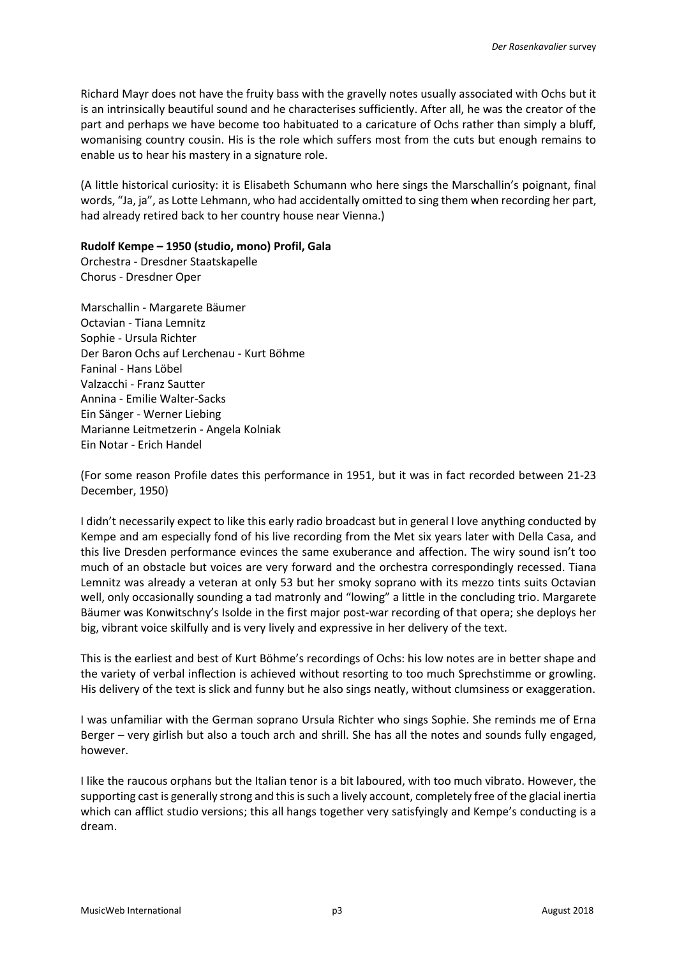Richard Mayr does not have the fruity bass with the gravelly notes usually associated with Ochs but it is an intrinsically beautiful sound and he characterises sufficiently. After all, he was the creator of the part and perhaps we have become too habituated to a caricature of Ochs rather than simply a bluff, womanising country cousin. His is the role which suffers most from the cuts but enough remains to enable us to hear his mastery in a signature role.

(A little historical curiosity: it is Elisabeth Schumann who here sings the Marschallin's poignant, final words, "Ja, ja", as Lotte Lehmann, who had accidentally omitted to sing them when recording her part, had already retired back to her country house near Vienna.)

## **Rudolf Kempe – 1950 (studio, mono) Profil, Gala**

Orchestra - Dresdner Staatskapelle Chorus - Dresdner Oper

Marschallin - Margarete Bäumer Octavian - Tiana Lemnitz Sophie - Ursula Richter Der Baron Ochs auf Lerchenau - Kurt Böhme Faninal - Hans Löbel Valzacchi - Franz Sautter Annina - Emilie Walter-Sacks Ein Sänger - Werner Liebing Marianne Leitmetzerin - Angela Kolniak Ein Notar - Erich Handel

(For some reason Profile dates this performance in 1951, but it was in fact recorded between 21-23 December, 1950)

I didn't necessarily expect to like this early radio broadcast but in general I love anything conducted by Kempe and am especially fond of his live recording from the Met six years later with Della Casa, and this live Dresden performance evinces the same exuberance and affection. The wiry sound isn't too much of an obstacle but voices are very forward and the orchestra correspondingly recessed. Tiana Lemnitz was already a veteran at only 53 but her smoky soprano with its mezzo tints suits Octavian well, only occasionally sounding a tad matronly and "lowing" a little in the concluding trio. Margarete Bäumer was Konwitschny's Isolde in the first major post-war recording of that opera; she deploys her big, vibrant voice skilfully and is very lively and expressive in her delivery of the text.

This is the earliest and best of Kurt Böhme's recordings of Ochs: his low notes are in better shape and the variety of verbal inflection is achieved without resorting to too much Sprechstimme or growling. His delivery of the text is slick and funny but he also sings neatly, without clumsiness or exaggeration.

I was unfamiliar with the German soprano Ursula Richter who sings Sophie. She reminds me of Erna Berger – very girlish but also a touch arch and shrill. She has all the notes and sounds fully engaged, however.

I like the raucous orphans but the Italian tenor is a bit laboured, with too much vibrato. However, the supporting cast is generally strong and this is such a lively account, completely free of the glacial inertia which can afflict studio versions; this all hangs together very satisfyingly and Kempe's conducting is a dream.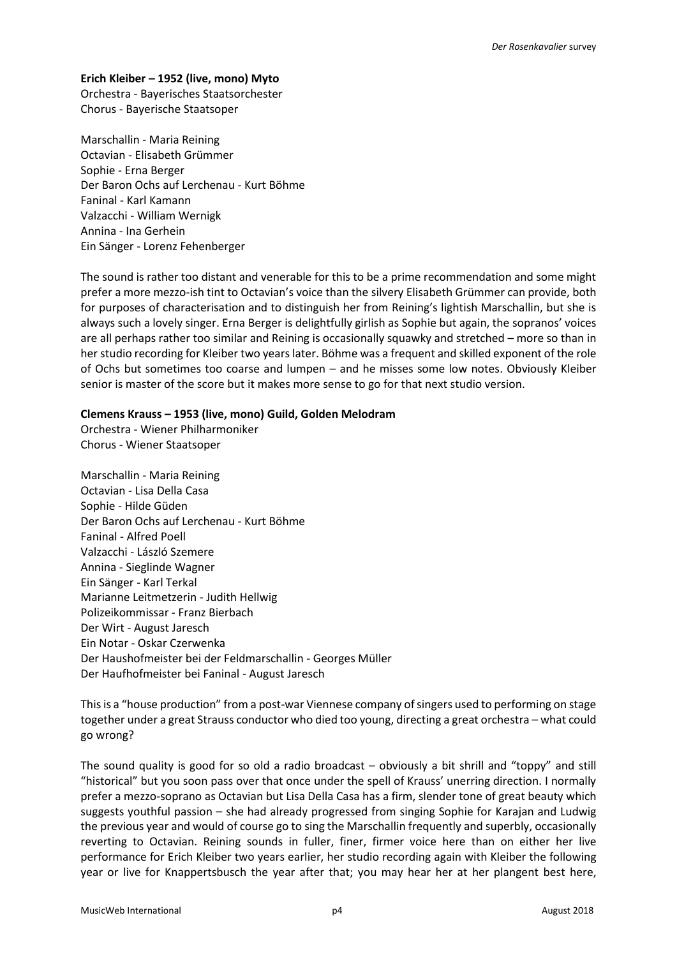### **Erich Kleiber – 1952 (live, mono) Myto**

Orchestra - Bayerisches Staatsorchester Chorus - Bayerische Staatsoper

Marschallin - Maria Reining Octavian - Elisabeth Grümmer Sophie - Erna Berger Der Baron Ochs auf Lerchenau - Kurt Böhme Faninal - Karl Kamann Valzacchi - William Wernigk Annina - Ina Gerhein Ein Sänger - Lorenz Fehenberger

The sound is rather too distant and venerable for this to be a prime recommendation and some might prefer a more mezzo-ish tint to Octavian's voice than the silvery Elisabeth Grümmer can provide, both for purposes of characterisation and to distinguish her from Reining's lightish Marschallin, but she is always such a lovely singer. Erna Berger is delightfully girlish as Sophie but again, the sopranos' voices are all perhaps rather too similar and Reining is occasionally squawky and stretched – more so than in her studio recording for Kleiber two years later. Böhme was a frequent and skilled exponent of the role of Ochs but sometimes too coarse and lumpen – and he misses some low notes. Obviously Kleiber senior is master of the score but it makes more sense to go for that next studio version.

### **Clemens Krauss – 1953 (live, mono) Guild, Golden Melodram**

Orchestra - Wiener Philharmoniker Chorus - Wiener Staatsoper

Marschallin - Maria Reining Octavian - Lisa Della Casa Sophie - Hilde Güden Der Baron Ochs auf Lerchenau - Kurt Böhme Faninal - Alfred Poell Valzacchi - László Szemere Annina - Sieglinde Wagner Ein Sänger - Karl Terkal Marianne Leitmetzerin - Judith Hellwig Polizeikommissar - Franz Bierbach Der Wirt - August Jaresch Ein Notar - Oskar Czerwenka Der Haushofmeister bei der Feldmarschallin - Georges Müller Der Haufhofmeister bei Faninal - August Jaresch

This is a "house production" from a post-war Viennese company of singers used to performing on stage together under a great Strauss conductor who died too young, directing a great orchestra – what could go wrong?

The sound quality is good for so old a radio broadcast – obviously a bit shrill and "toppy" and still "historical" but you soon pass over that once under the spell of Krauss' unerring direction. I normally prefer a mezzo-soprano as Octavian but Lisa Della Casa has a firm, slender tone of great beauty which suggests youthful passion – she had already progressed from singing Sophie for Karajan and Ludwig the previous year and would of course go to sing the Marschallin frequently and superbly, occasionally reverting to Octavian. Reining sounds in fuller, finer, firmer voice here than on either her live performance for Erich Kleiber two years earlier, her studio recording again with Kleiber the following year or live for Knappertsbusch the year after that; you may hear her at her plangent best here,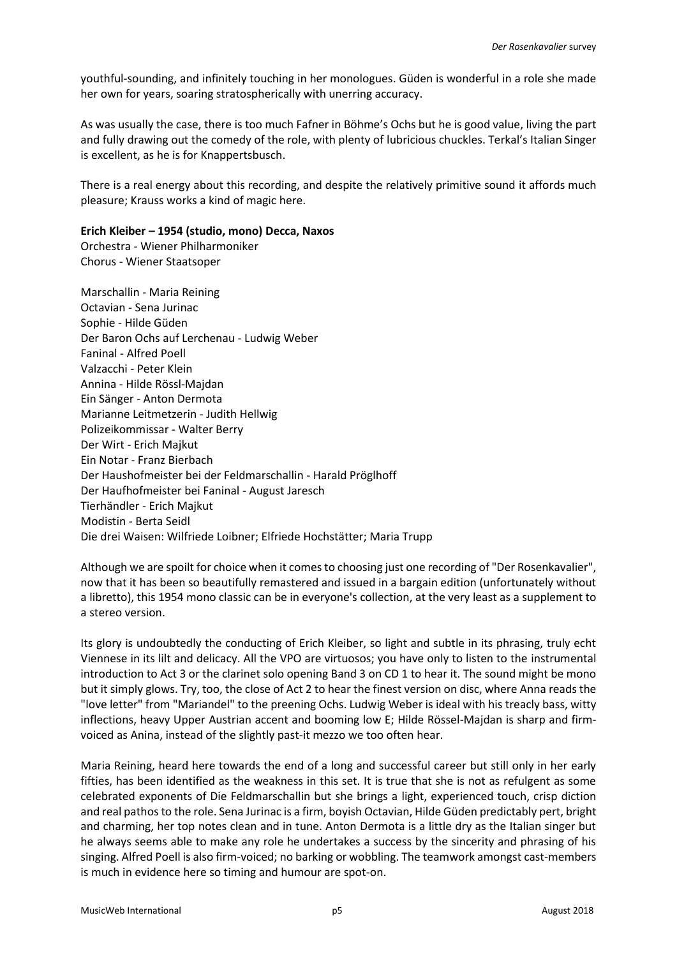youthful-sounding, and infinitely touching in her monologues. Güden is wonderful in a role she made her own for years, soaring stratospherically with unerring accuracy.

As was usually the case, there is too much Fafner in Böhme's Ochs but he is good value, living the part and fully drawing out the comedy of the role, with plenty of lubricious chuckles. Terkal's Italian Singer is excellent, as he is for Knappertsbusch.

There is a real energy about this recording, and despite the relatively primitive sound it affords much pleasure; Krauss works a kind of magic here.

### **Erich Kleiber – 1954 (studio, mono) Decca, Naxos**

Orchestra - Wiener Philharmoniker Chorus - Wiener Staatsoper

Marschallin - Maria Reining Octavian - Sena Jurinac Sophie - Hilde Güden Der Baron Ochs auf Lerchenau - Ludwig Weber Faninal - Alfred Poell Valzacchi - Peter Klein Annina - Hilde Rössl-Majdan Ein Sänger - Anton Dermota Marianne Leitmetzerin - Judith Hellwig Polizeikommissar - Walter Berry Der Wirt - Erich Majkut Ein Notar - Franz Bierbach Der Haushofmeister bei der Feldmarschallin - Harald Pröglhoff Der Haufhofmeister bei Faninal - August Jaresch Tierhändler - Erich Majkut Modistin - Berta Seidl Die drei Waisen: Wilfriede Loibner; Elfriede Hochstätter; Maria Trupp

Although we are spoilt for choice when it comes to choosing just one recording of "Der Rosenkavalier", now that it has been so beautifully remastered and issued in a bargain edition (unfortunately without a libretto), this 1954 mono classic can be in everyone's collection, at the very least as a supplement to a stereo version.

Its glory is undoubtedly the conducting of Erich Kleiber, so light and subtle in its phrasing, truly echt Viennese in its lilt and delicacy. All the VPO are virtuosos; you have only to listen to the instrumental introduction to Act 3 or the clarinet solo opening Band 3 on CD 1 to hear it. The sound might be mono but it simply glows. Try, too, the close of Act 2 to hear the finest version on disc, where Anna reads the "love letter" from "Mariandel" to the preening Ochs. Ludwig Weber is ideal with his treacly bass, witty inflections, heavy Upper Austrian accent and booming low E; Hilde Rössel-Majdan is sharp and firmvoiced as Anina, instead of the slightly past-it mezzo we too often hear.

Maria Reining, heard here towards the end of a long and successful career but still only in her early fifties, has been identified as the weakness in this set. It is true that she is not as refulgent as some celebrated exponents of Die Feldmarschallin but she brings a light, experienced touch, crisp diction and real pathos to the role. Sena Jurinac is a firm, boyish Octavian, Hilde Güden predictably pert, bright and charming, her top notes clean and in tune. Anton Dermota is a little dry as the Italian singer but he always seems able to make any role he undertakes a success by the sincerity and phrasing of his singing. Alfred Poell is also firm-voiced; no barking or wobbling. The teamwork amongst cast-members is much in evidence here so timing and humour are spot-on.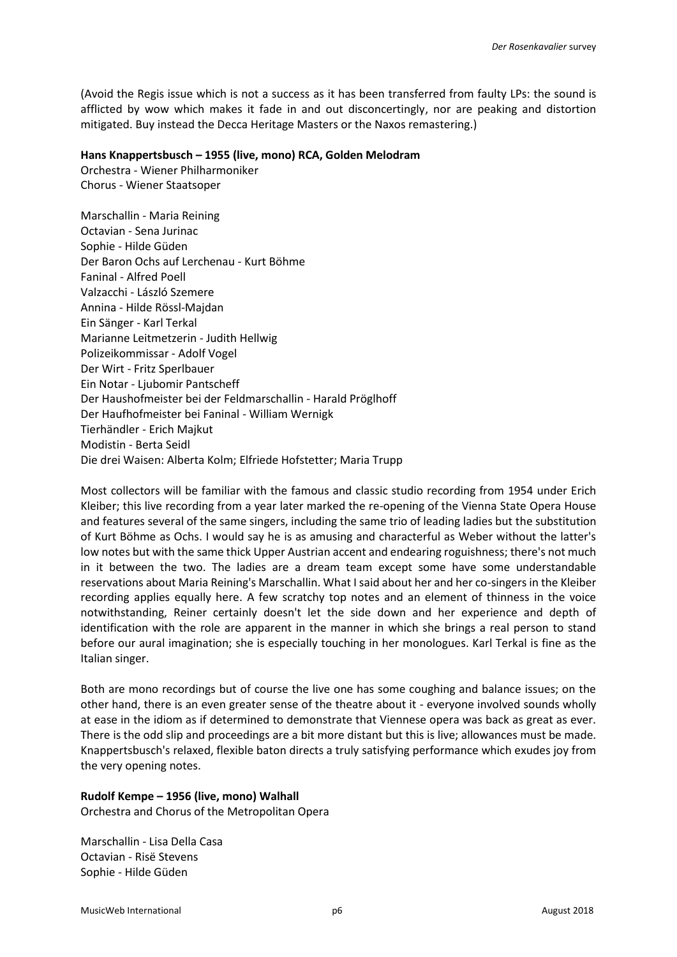(Avoid the Regis issue which is not a success as it has been transferred from faulty LPs: the sound is afflicted by wow which makes it fade in and out disconcertingly, nor are peaking and distortion mitigated. Buy instead the Decca Heritage Masters or the Naxos remastering.)

### **Hans Knappertsbusch – 1955 (live, mono) RCA, Golden Melodram**

Orchestra - Wiener Philharmoniker Chorus - Wiener Staatsoper

Marschallin - Maria Reining Octavian - Sena Jurinac Sophie - Hilde Güden Der Baron Ochs auf Lerchenau - Kurt Böhme Faninal - Alfred Poell Valzacchi - László Szemere Annina - Hilde Rössl-Majdan Ein Sänger - Karl Terkal Marianne Leitmetzerin - Judith Hellwig Polizeikommissar - Adolf Vogel Der Wirt - Fritz Sperlbauer Ein Notar - Ljubomir Pantscheff Der Haushofmeister bei der Feldmarschallin - Harald Pröglhoff Der Haufhofmeister bei Faninal - William Wernigk Tierhändler - Erich Majkut Modistin - Berta Seidl Die drei Waisen: Alberta Kolm; Elfriede Hofstetter; Maria Trupp

Most collectors will be familiar with the famous and classic studio recording from 1954 under Erich Kleiber; this live recording from a year later marked the re-opening of the Vienna State Opera House and features several of the same singers, including the same trio of leading ladies but the substitution of Kurt Böhme as Ochs. I would say he is as amusing and characterful as Weber without the latter's low notes but with the same thick Upper Austrian accent and endearing roguishness; there's not much in it between the two. The ladies are a dream team except some have some understandable reservations about Maria Reining's Marschallin. What I said about her and her co-singers in the Kleiber recording applies equally here. A few scratchy top notes and an element of thinness in the voice notwithstanding, Reiner certainly doesn't let the side down and her experience and depth of identification with the role are apparent in the manner in which she brings a real person to stand before our aural imagination; she is especially touching in her monologues. Karl Terkal is fine as the Italian singer.

Both are mono recordings but of course the live one has some coughing and balance issues; on the other hand, there is an even greater sense of the theatre about it - everyone involved sounds wholly at ease in the idiom as if determined to demonstrate that Viennese opera was back as great as ever. There is the odd slip and proceedings are a bit more distant but this is live; allowances must be made. Knappertsbusch's relaxed, flexible baton directs a truly satisfying performance which exudes joy from the very opening notes.

# **Rudolf Kempe – 1956 (live, mono) Walhall**

Orchestra and Chorus of the Metropolitan Opera

Marschallin - Lisa Della Casa Octavian - Risë Stevens Sophie - Hilde Güden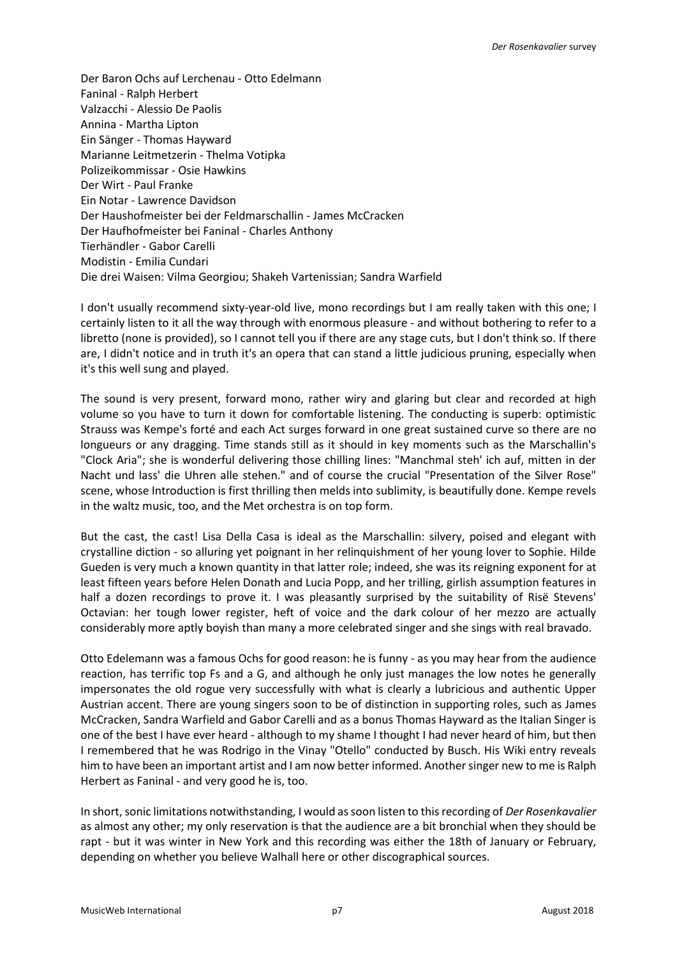Der Baron Ochs auf Lerchenau - Otto Edelmann Faninal - Ralph Herbert Valzacchi - Alessio De Paolis Annina - Martha Lipton Ein Sänger - Thomas Hayward Marianne Leitmetzerin - Thelma Votipka Polizeikommissar - Osie Hawkins Der Wirt - Paul Franke Ein Notar - Lawrence Davidson Der Haushofmeister bei der Feldmarschallin - James McCracken Der Haufhofmeister bei Faninal - Charles Anthony Tierhändler - Gabor Carelli Modistin - Emilia Cundari Die drei Waisen: Vilma Georgiou; Shakeh Vartenissian; Sandra Warfield

I don't usually recommend sixty-year-old live, mono recordings but I am really taken with this one; I certainly listen to it all the way through with enormous pleasure - and without bothering to refer to a libretto (none is provided), so I cannot tell you if there are any stage cuts, but I don't think so. If there are, I didn't notice and in truth it's an opera that can stand a little judicious pruning, especially when it's this well sung and played.

The sound is very present, forward mono, rather wiry and glaring but clear and recorded at high volume so you have to turn it down for comfortable listening. The conducting is superb: optimistic Strauss was Kempe's forté and each Act surges forward in one great sustained curve so there are no longueurs or any dragging. Time stands still as it should in key moments such as the Marschallin's "Clock Aria"; she is wonderful delivering those chilling lines: "Manchmal steh' ich auf, mitten in der Nacht und lass' die Uhren alle stehen." and of course the crucial "Presentation of the Silver Rose" scene, whose Introduction is first thrilling then melds into sublimity, is beautifully done. Kempe revels in the waltz music, too, and the Met orchestra is on top form.

But the cast, the cast! Lisa Della Casa is ideal as the Marschallin: silvery, poised and elegant with crystalline diction - so alluring yet poignant in her relinquishment of her young lover to Sophie. Hilde Gueden is very much a known quantity in that latter role; indeed, she was its reigning exponent for at least fifteen years before Helen Donath and Lucia Popp, and her trilling, girlish assumption features in half a dozen recordings to prove it. I was pleasantly surprised by the suitability of Risë Stevens' Octavian: her tough lower register, heft of voice and the dark colour of her mezzo are actually considerably more aptly boyish than many a more celebrated singer and she sings with real bravado.

Otto Edelemann was a famous Ochs for good reason: he is funny - as you may hear from the audience reaction, has terrific top Fs and a G, and although he only just manages the low notes he generally impersonates the old rogue very successfully with what is clearly a lubricious and authentic Upper Austrian accent. There are young singers soon to be of distinction in supporting roles, such as James McCracken, Sandra Warfield and Gabor Carelli and as a bonus Thomas Hayward as the Italian Singer is one of the best I have ever heard - although to my shame I thought I had never heard of him, but then I remembered that he was Rodrigo in the Vinay "Otello" conducted by Busch. His Wiki entry reveals him to have been an important artist and I am now better informed. Another singer new to me is Ralph Herbert as Faninal - and very good he is, too.

In short, sonic limitations notwithstanding, I would as soon listen to this recording of *Der Rosenkavalier* as almost any other; my only reservation is that the audience are a bit bronchial when they should be rapt - but it was winter in New York and this recording was either the 18th of January or February, depending on whether you believe Walhall here or other discographical sources.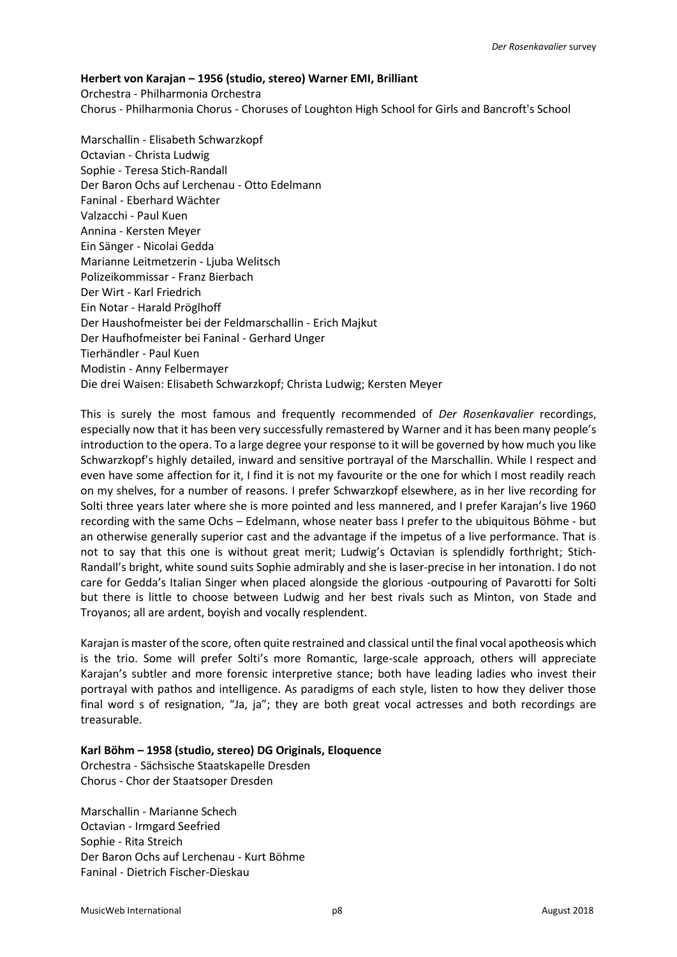# **Herbert von Karajan – 1956 (studio, stereo) Warner EMI, Brilliant**

Orchestra - Philharmonia Orchestra Chorus - Philharmonia Chorus - Choruses of Loughton High School for Girls and Bancroft's School

Marschallin - Elisabeth Schwarzkopf Octavian - Christa Ludwig Sophie - Teresa Stich-Randall Der Baron Ochs auf Lerchenau - Otto Edelmann Faninal - Eberhard Wächter Valzacchi - Paul Kuen Annina - Kersten Meyer Ein Sänger - Nicolai Gedda Marianne Leitmetzerin - Ljuba Welitsch Polizeikommissar - Franz Bierbach Der Wirt - Karl Friedrich Ein Notar - Harald Pröglhoff Der Haushofmeister bei der Feldmarschallin - Erich Majkut Der Haufhofmeister bei Faninal - Gerhard Unger Tierhändler - Paul Kuen Modistin - Anny Felbermayer Die drei Waisen: Elisabeth Schwarzkopf; Christa Ludwig; Kersten Meyer

This is surely the most famous and frequently recommended of *Der Rosenkavalier* recordings, especially now that it has been very successfully remastered by Warner and it has been many people's introduction to the opera. To a large degree your response to it will be governed by how much you like Schwarzkopf's highly detailed, inward and sensitive portrayal of the Marschallin. While I respect and even have some affection for it, I find it is not my favourite or the one for which I most readily reach on my shelves, for a number of reasons. I prefer Schwarzkopf elsewhere, as in her live recording for Solti three years later where she is more pointed and less mannered, and I prefer Karajan's live 1960 recording with the same Ochs – Edelmann, whose neater bass I prefer to the ubiquitous Böhme - but an otherwise generally superior cast and the advantage if the impetus of a live performance. That is not to say that this one is without great merit; Ludwig's Octavian is splendidly forthright; Stich-Randall's bright, white sound suits Sophie admirably and she is laser-precise in her intonation. I do not care for Gedda's Italian Singer when placed alongside the glorious -outpouring of Pavarotti for Solti but there is little to choose between Ludwig and her best rivals such as Minton, von Stade and Troyanos; all are ardent, boyish and vocally resplendent.

Karajan is master of the score, often quite restrained and classical until the final vocal apotheosis which is the trio. Some will prefer Solti's more Romantic, large-scale approach, others will appreciate Karajan's subtler and more forensic interpretive stance; both have leading ladies who invest their portrayal with pathos and intelligence. As paradigms of each style, listen to how they deliver those final word s of resignation, "Ja, ja"; they are both great vocal actresses and both recordings are treasurable.

**Karl Böhm – 1958 (studio, stereo) DG Originals, Eloquence** Orchestra - Sächsische Staatskapelle Dresden

Marschallin - Marianne Schech Octavian - Irmgard Seefried Sophie - Rita Streich Der Baron Ochs auf Lerchenau - Kurt Böhme Faninal - Dietrich Fischer-Dieskau

Chorus - Chor der Staatsoper Dresden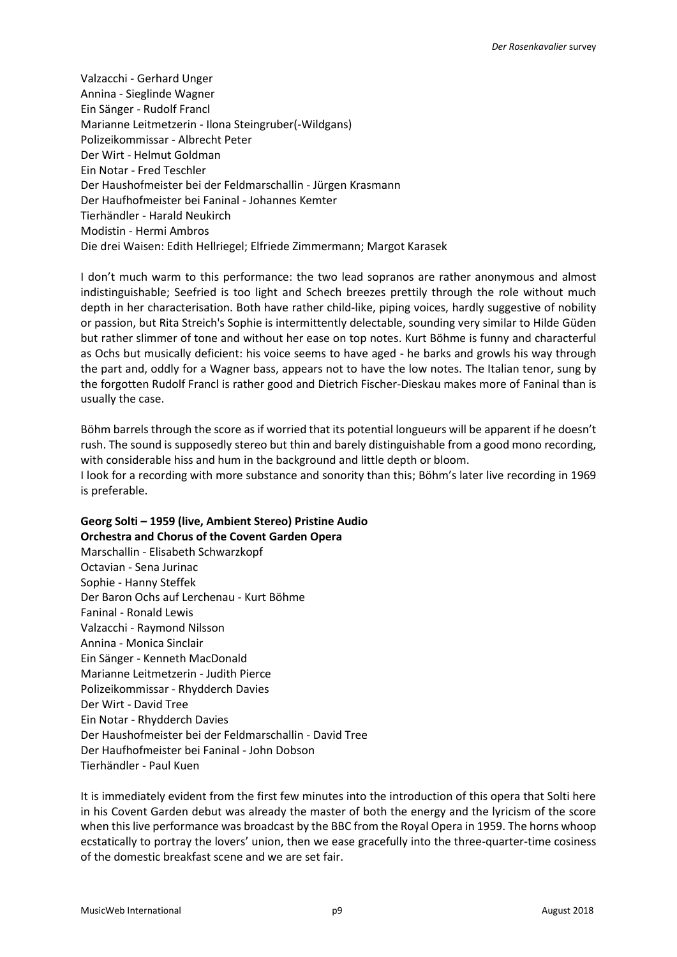Valzacchi - Gerhard Unger Annina - Sieglinde Wagner Ein Sänger - Rudolf Francl Marianne Leitmetzerin - Ilona Steingruber(-Wildgans) Polizeikommissar - Albrecht Peter Der Wirt - Helmut Goldman Ein Notar - Fred Teschler Der Haushofmeister bei der Feldmarschallin - Jürgen Krasmann Der Haufhofmeister bei Faninal - Johannes Kemter Tierhändler - Harald Neukirch Modistin - Hermi Ambros Die drei Waisen: Edith Hellriegel; Elfriede Zimmermann; Margot Karasek

I don't much warm to this performance: the two lead sopranos are rather anonymous and almost indistinguishable; Seefried is too light and Schech breezes prettily through the role without much depth in her characterisation. Both have rather child-like, piping voices, hardly suggestive of nobility or passion, but Rita Streich's Sophie is intermittently delectable, sounding very similar to Hilde Güden but rather slimmer of tone and without her ease on top notes. Kurt Böhme is funny and characterful as Ochs but musically deficient: his voice seems to have aged - he barks and growls his way through the part and, oddly for a Wagner bass, appears not to have the low notes. The Italian tenor, sung by the forgotten Rudolf Francl is rather good and Dietrich Fischer-Dieskau makes more of Faninal than is usually the case.

Böhm barrels through the score as if worried that its potential longueurs will be apparent if he doesn't rush. The sound is supposedly stereo but thin and barely distinguishable from a good mono recording, with considerable hiss and hum in the background and little depth or bloom. I look for a recording with more substance and sonority than this; Böhm's later live recording in 1969 is preferable.

# **Georg Solti – 1959 (live, Ambient Stereo) Pristine Audio Orchestra and Chorus of the Covent Garden Opera** Marschallin - Elisabeth Schwarzkopf Octavian - Sena Jurinac

Sophie - Hanny Steffek Der Baron Ochs auf Lerchenau - Kurt Böhme Faninal - Ronald Lewis Valzacchi - Raymond Nilsson Annina - Monica Sinclair Ein Sänger - Kenneth MacDonald Marianne Leitmetzerin - Judith Pierce Polizeikommissar - Rhydderch Davies Der Wirt - David Tree Ein Notar - Rhydderch Davies Der Haushofmeister bei der Feldmarschallin - David Tree Der Haufhofmeister bei Faninal - John Dobson Tierhändler - Paul Kuen

It is immediately evident from the first few minutes into the introduction of this opera that Solti here in his Covent Garden debut was already the master of both the energy and the lyricism of the score when this live performance was broadcast by the BBC from the Royal Opera in 1959. The horns whoop ecstatically to portray the lovers' union, then we ease gracefully into the three-quarter-time cosiness of the domestic breakfast scene and we are set fair.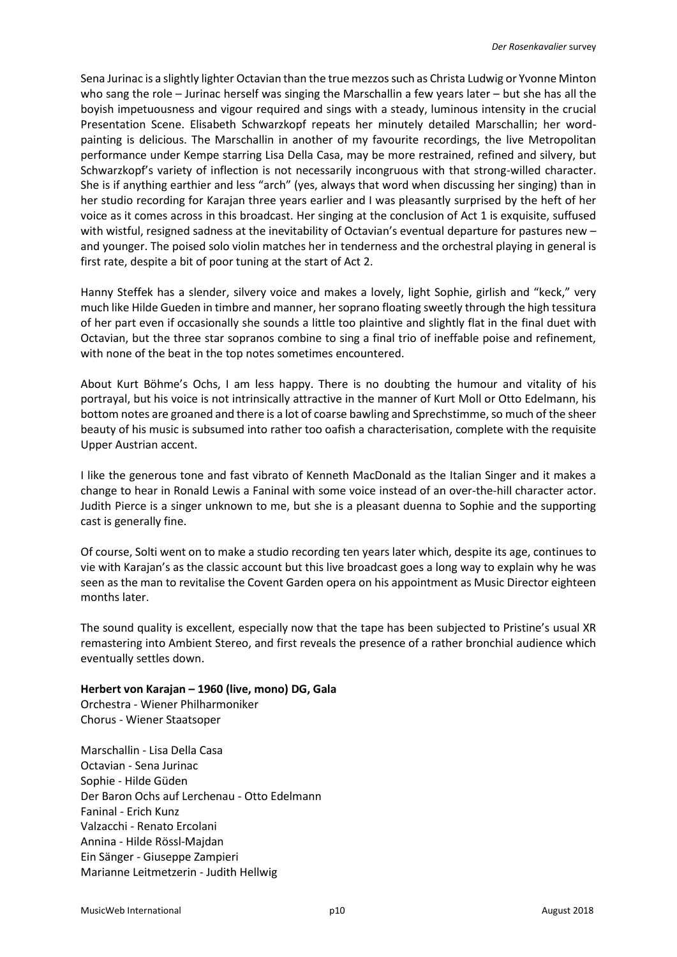Sena Jurinac is a slightly lighter Octavian than the true mezzos such as Christa Ludwig or Yvonne Minton who sang the role – Jurinac herself was singing the Marschallin a few years later – but she has all the boyish impetuousness and vigour required and sings with a steady, luminous intensity in the crucial Presentation Scene. Elisabeth Schwarzkopf repeats her minutely detailed Marschallin; her wordpainting is delicious. The Marschallin in another of my favourite recordings, the live Metropolitan performance under Kempe starring Lisa Della Casa, may be more restrained, refined and silvery, but Schwarzkopf's variety of inflection is not necessarily incongruous with that strong-willed character. She is if anything earthier and less "arch" (yes, always that word when discussing her singing) than in her studio recording for Karajan three years earlier and I was pleasantly surprised by the heft of her voice as it comes across in this broadcast. Her singing at the conclusion of Act 1 is exquisite, suffused with wistful, resigned sadness at the inevitability of Octavian's eventual departure for pastures new – and younger. The poised solo violin matches her in tenderness and the orchestral playing in general is first rate, despite a bit of poor tuning at the start of Act 2.

Hanny Steffek has a slender, silvery voice and makes a lovely, light Sophie, girlish and "keck," very much like Hilde Gueden in timbre and manner, her soprano floating sweetly through the high tessitura of her part even if occasionally she sounds a little too plaintive and slightly flat in the final duet with Octavian, but the three star sopranos combine to sing a final trio of ineffable poise and refinement, with none of the beat in the top notes sometimes encountered.

About Kurt Böhme's Ochs, I am less happy. There is no doubting the humour and vitality of his portrayal, but his voice is not intrinsically attractive in the manner of Kurt Moll or Otto Edelmann, his bottom notes are groaned and there is a lot of coarse bawling and Sprechstimme, so much of the sheer beauty of his music is subsumed into rather too oafish a characterisation, complete with the requisite Upper Austrian accent.

I like the generous tone and fast vibrato of Kenneth MacDonald as the Italian Singer and it makes a change to hear in Ronald Lewis a Faninal with some voice instead of an over-the-hill character actor. Judith Pierce is a singer unknown to me, but she is a pleasant duenna to Sophie and the supporting cast is generally fine.

Of course, Solti went on to make a studio recording ten years later which, despite its age, continues to vie with Karajan's as the classic account but this live broadcast goes a long way to explain why he was seen as the man to revitalise the Covent Garden opera on his appointment as Music Director eighteen months later.

The sound quality is excellent, especially now that the tape has been subjected to Pristine's usual XR remastering into Ambient Stereo, and first reveals the presence of a rather bronchial audience which eventually settles down.

# **Herbert von Karajan – 1960 (live, mono) DG, Gala**

Orchestra - Wiener Philharmoniker Chorus - Wiener Staatsoper

Marschallin - Lisa Della Casa Octavian - Sena Jurinac Sophie - Hilde Güden Der Baron Ochs auf Lerchenau - Otto Edelmann Faninal - Erich Kunz Valzacchi - Renato Ercolani Annina - Hilde Rössl-Majdan Ein Sänger - Giuseppe Zampieri Marianne Leitmetzerin - Judith Hellwig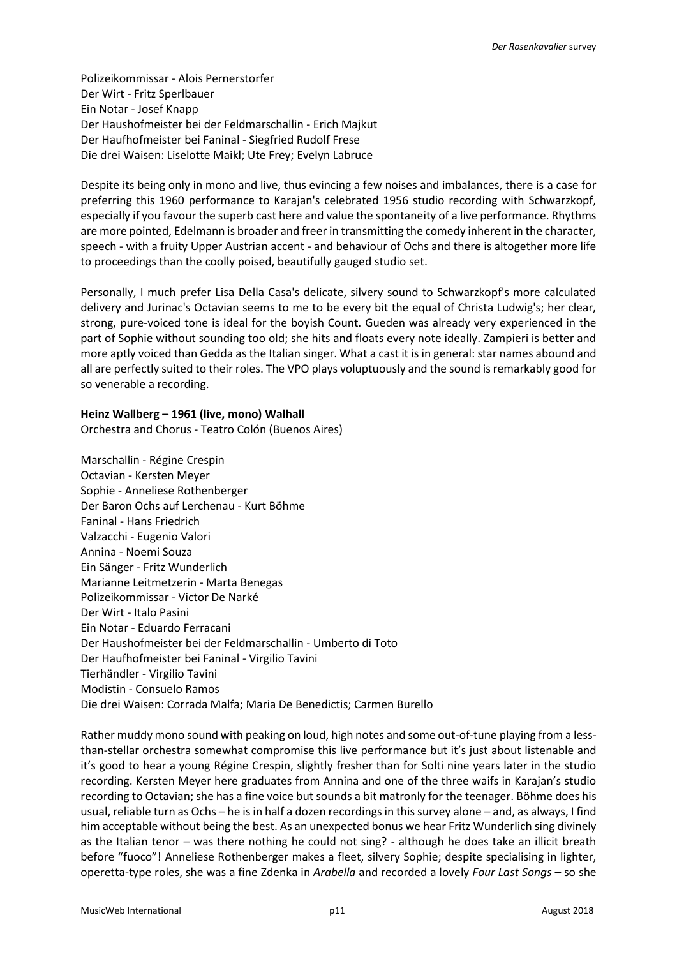Polizeikommissar - Alois Pernerstorfer Der Wirt - Fritz Sperlbauer Ein Notar - Josef Knapp Der Haushofmeister bei der Feldmarschallin - Erich Majkut Der Haufhofmeister bei Faninal - Siegfried Rudolf Frese Die drei Waisen: Liselotte Maikl; Ute Frey; Evelyn Labruce

Despite its being only in mono and live, thus evincing a few noises and imbalances, there is a case for preferring this 1960 performance to Karajan's celebrated 1956 studio recording with Schwarzkopf, especially if you favour the superb cast here and value the spontaneity of a live performance. Rhythms are more pointed, Edelmann is broader and freer in transmitting the comedy inherent in the character, speech - with a fruity Upper Austrian accent - and behaviour of Ochs and there is altogether more life to proceedings than the coolly poised, beautifully gauged studio set.

Personally, I much prefer Lisa Della Casa's delicate, silvery sound to Schwarzkopf's more calculated delivery and Jurinac's Octavian seems to me to be every bit the equal of Christa Ludwig's; her clear, strong, pure-voiced tone is ideal for the boyish Count. Gueden was already very experienced in the part of Sophie without sounding too old; she hits and floats every note ideally. Zampieri is better and more aptly voiced than Gedda as the Italian singer. What a cast it is in general: star names abound and all are perfectly suited to their roles. The VPO plays voluptuously and the sound is remarkably good for so venerable a recording.

## **Heinz Wallberg – 1961 (live, mono) Walhall**

Orchestra and Chorus - Teatro Colón (Buenos Aires)

Marschallin - Régine Crespin Octavian - Kersten Meyer Sophie - Anneliese Rothenberger Der Baron Ochs auf Lerchenau - Kurt Böhme Faninal - Hans Friedrich Valzacchi - Eugenio Valori Annina - Noemi Souza Ein Sänger - Fritz Wunderlich Marianne Leitmetzerin - Marta Benegas Polizeikommissar - Victor De Narké Der Wirt - Italo Pasini Ein Notar - Eduardo Ferracani Der Haushofmeister bei der Feldmarschallin - Umberto di Toto Der Haufhofmeister bei Faninal - Virgilio Tavini Tierhändler - Virgilio Tavini Modistin - Consuelo Ramos Die drei Waisen: Corrada Malfa; Maria De Benedictis; Carmen Burello

Rather muddy mono sound with peaking on loud, high notes and some out-of-tune playing from a lessthan-stellar orchestra somewhat compromise this live performance but it's just about listenable and it's good to hear a young Régine Crespin, slightly fresher than for Solti nine years later in the studio recording. Kersten Meyer here graduates from Annina and one of the three waifs in Karajan's studio recording to Octavian; she has a fine voice but sounds a bit matronly for the teenager. Böhme does his usual, reliable turn as Ochs – he is in half a dozen recordings in this survey alone – and, as always, I find him acceptable without being the best. As an unexpected bonus we hear Fritz Wunderlich sing divinely as the Italian tenor – was there nothing he could not sing? - although he does take an illicit breath before "fuoco"! Anneliese Rothenberger makes a fleet, silvery Sophie; despite specialising in lighter, operetta-type roles, she was a fine Zdenka in *Arabella* and recorded a lovely *Four Last Songs* – so she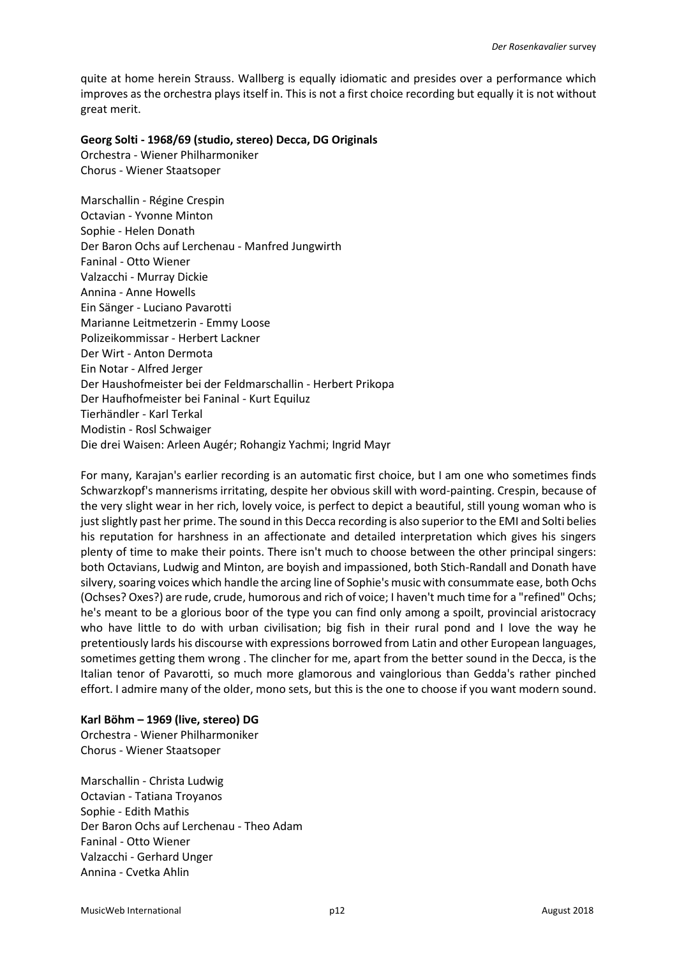quite at home herein Strauss. Wallberg is equally idiomatic and presides over a performance which improves as the orchestra plays itself in. This is not a first choice recording but equally it is not without great merit.

## **Georg Solti - 1968/69 (studio, stereo) Decca, DG Originals**

Orchestra - Wiener Philharmoniker Chorus - Wiener Staatsoper

Marschallin - Régine Crespin Octavian - Yvonne Minton Sophie - Helen Donath Der Baron Ochs auf Lerchenau - Manfred Jungwirth Faninal - Otto Wiener Valzacchi - Murray Dickie Annina - Anne Howells Ein Sänger - Luciano Pavarotti Marianne Leitmetzerin - Emmy Loose Polizeikommissar - Herbert Lackner Der Wirt - Anton Dermota Ein Notar - Alfred Jerger Der Haushofmeister bei der Feldmarschallin - Herbert Prikopa Der Haufhofmeister bei Faninal - Kurt Equiluz Tierhändler - Karl Terkal Modistin - Rosl Schwaiger Die drei Waisen: Arleen Augér; Rohangiz Yachmi; Ingrid Mayr

For many, Karajan's earlier recording is an automatic first choice, but I am one who sometimes finds Schwarzkopf's mannerisms irritating, despite her obvious skill with word-painting. Crespin, because of the very slight wear in her rich, lovely voice, is perfect to depict a beautiful, still young woman who is just slightly past her prime. The sound in this Decca recording is also superior to the EMI and Solti belies his reputation for harshness in an affectionate and detailed interpretation which gives his singers plenty of time to make their points. There isn't much to choose between the other principal singers: both Octavians, Ludwig and Minton, are boyish and impassioned, both Stich-Randall and Donath have silvery, soaring voices which handle the arcing line of Sophie's music with consummate ease, both Ochs (Ochses? Oxes?) are rude, crude, humorous and rich of voice; I haven't much time for a "refined" Ochs; he's meant to be a glorious boor of the type you can find only among a spoilt, provincial aristocracy who have little to do with urban civilisation; big fish in their rural pond and I love the way he pretentiously lards his discourse with expressions borrowed from Latin and other European languages, sometimes getting them wrong . The clincher for me, apart from the better sound in the Decca, is the Italian tenor of Pavarotti, so much more glamorous and vainglorious than Gedda's rather pinched effort. I admire many of the older, mono sets, but this is the one to choose if you want modern sound.

# **Karl Böhm – 1969 (live, stereo) DG**

Orchestra - Wiener Philharmoniker Chorus - Wiener Staatsoper

Marschallin - Christa Ludwig Octavian - Tatiana Troyanos Sophie - Edith Mathis Der Baron Ochs auf Lerchenau - Theo Adam Faninal - Otto Wiener Valzacchi - Gerhard Unger Annina - Cvetka Ahlin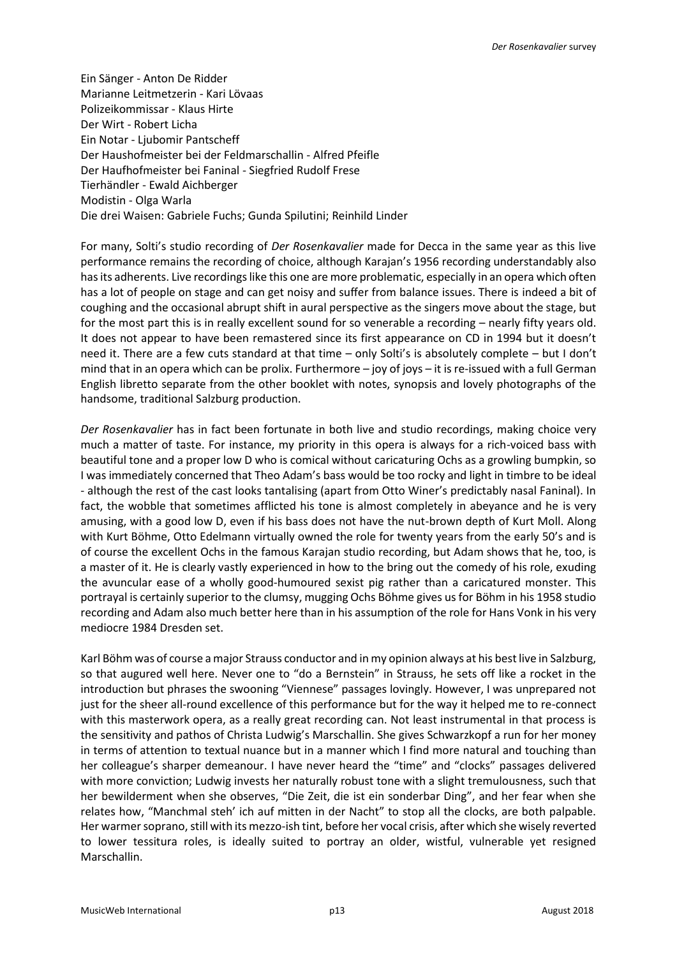Ein Sänger - Anton De Ridder Marianne Leitmetzerin - Kari Lövaas Polizeikommissar - Klaus Hirte Der Wirt - Robert Licha Ein Notar - Ljubomir Pantscheff Der Haushofmeister bei der Feldmarschallin - Alfred Pfeifle Der Haufhofmeister bei Faninal - Siegfried Rudolf Frese Tierhändler - Ewald Aichberger Modistin - Olga Warla Die drei Waisen: Gabriele Fuchs; Gunda Spilutini; Reinhild Linder

For many, Solti's studio recording of *Der Rosenkavalier* made for Decca in the same year as this live performance remains the recording of choice, although Karajan's 1956 recording understandably also has its adherents. Live recordings like this one are more problematic, especially in an opera which often has a lot of people on stage and can get noisy and suffer from balance issues. There is indeed a bit of coughing and the occasional abrupt shift in aural perspective as the singers move about the stage, but for the most part this is in really excellent sound for so venerable a recording – nearly fifty years old. It does not appear to have been remastered since its first appearance on CD in 1994 but it doesn't need it. There are a few cuts standard at that time – only Solti's is absolutely complete – but I don't mind that in an opera which can be prolix. Furthermore – joy of joys – it is re-issued with a full German English libretto separate from the other booklet with notes, synopsis and lovely photographs of the handsome, traditional Salzburg production.

*Der Rosenkavalier* has in fact been fortunate in both live and studio recordings, making choice very much a matter of taste. For instance, my priority in this opera is always for a rich-voiced bass with beautiful tone and a proper low D who is comical without caricaturing Ochs as a growling bumpkin, so I was immediately concerned that Theo Adam's bass would be too rocky and light in timbre to be ideal - although the rest of the cast looks tantalising (apart from Otto Winer's predictably nasal Faninal). In fact, the wobble that sometimes afflicted his tone is almost completely in abeyance and he is very amusing, with a good low D, even if his bass does not have the nut-brown depth of Kurt Moll. Along with Kurt Böhme, Otto Edelmann virtually owned the role for twenty years from the early 50's and is of course the excellent Ochs in the famous Karajan studio recording, but Adam shows that he, too, is a master of it. He is clearly vastly experienced in how to the bring out the comedy of his role, exuding the avuncular ease of a wholly good-humoured sexist pig rather than a caricatured monster. This portrayal is certainly superior to the clumsy, mugging Ochs Böhme gives us for Böhm in his 1958 studio recording and Adam also much better here than in his assumption of the role for Hans Vonk in his very mediocre 1984 Dresden set.

Karl Böhm was of course a major Strauss conductor and in my opinion always at his best live in Salzburg, so that augured well here. Never one to "do a Bernstein" in Strauss, he sets off like a rocket in the introduction but phrases the swooning "Viennese" passages lovingly. However, I was unprepared not just for the sheer all-round excellence of this performance but for the way it helped me to re-connect with this masterwork opera, as a really great recording can. Not least instrumental in that process is the sensitivity and pathos of Christa Ludwig's Marschallin. She gives Schwarzkopf a run for her money in terms of attention to textual nuance but in a manner which I find more natural and touching than her colleague's sharper demeanour. I have never heard the "time" and "clocks" passages delivered with more conviction; Ludwig invests her naturally robust tone with a slight tremulousness, such that her bewilderment when she observes, "Die Zeit, die ist ein sonderbar Ding", and her fear when she relates how, "Manchmal steh' ich auf mitten in der Nacht" to stop all the clocks, are both palpable. Her warmer soprano, still with its mezzo-ish tint, before her vocal crisis, after which she wisely reverted to lower tessitura roles, is ideally suited to portray an older, wistful, vulnerable yet resigned Marschallin.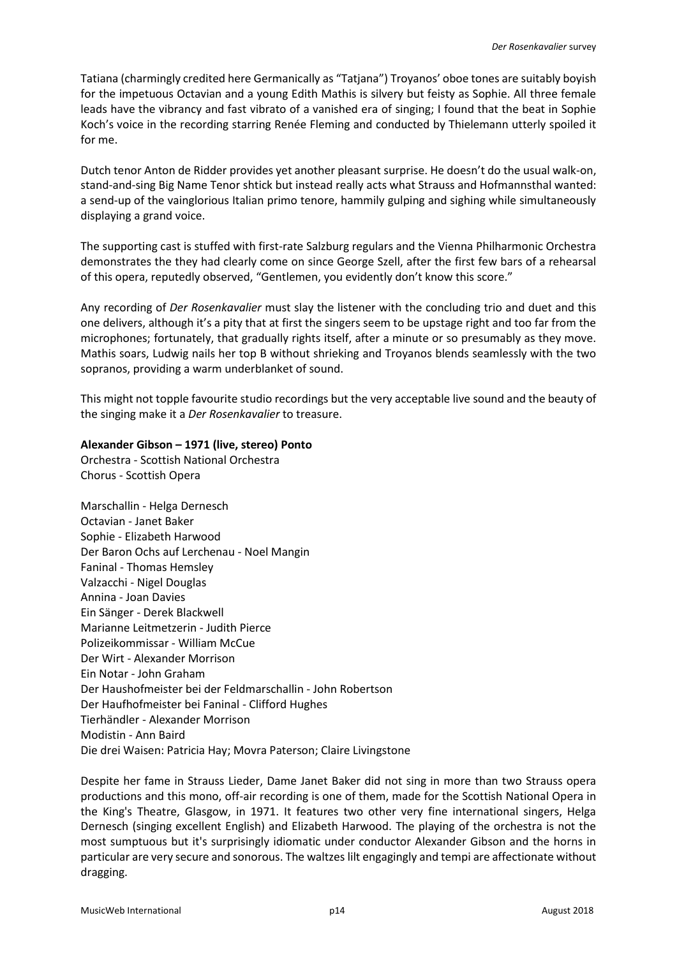Tatiana (charmingly credited here Germanically as "Tatjana") Troyanos' oboe tones are suitably boyish for the impetuous Octavian and a young Edith Mathis is silvery but feisty as Sophie. All three female leads have the vibrancy and fast vibrato of a vanished era of singing; I found that the beat in Sophie Koch's voice in the recording starring Renée Fleming and conducted by Thielemann utterly spoiled it for me.

Dutch tenor Anton de Ridder provides yet another pleasant surprise. He doesn't do the usual walk-on, stand-and-sing Big Name Tenor shtick but instead really acts what Strauss and Hofmannsthal wanted: a send-up of the vainglorious Italian primo tenore, hammily gulping and sighing while simultaneously displaying a grand voice.

The supporting cast is stuffed with first-rate Salzburg regulars and the Vienna Philharmonic Orchestra demonstrates the they had clearly come on since George Szell, after the first few bars of a rehearsal of this opera, reputedly observed, "Gentlemen, you evidently don't know this score."

Any recording of *Der Rosenkavalier* must slay the listener with the concluding trio and duet and this one delivers, although it's a pity that at first the singers seem to be upstage right and too far from the microphones; fortunately, that gradually rights itself, after a minute or so presumably as they move. Mathis soars, Ludwig nails her top B without shrieking and Troyanos blends seamlessly with the two sopranos, providing a warm underblanket of sound.

This might not topple favourite studio recordings but the very acceptable live sound and the beauty of the singing make it a *Der Rosenkavalier* to treasure.

### **Alexander Gibson – 1971 (live, stereo) Ponto**

Orchestra - Scottish National Orchestra Chorus - Scottish Opera

Marschallin - Helga Dernesch Octavian - Janet Baker Sophie - Elizabeth Harwood Der Baron Ochs auf Lerchenau - Noel Mangin Faninal - Thomas Hemsley Valzacchi - Nigel Douglas Annina - Joan Davies Ein Sänger - Derek Blackwell Marianne Leitmetzerin - Judith Pierce Polizeikommissar - William McCue Der Wirt - Alexander Morrison Ein Notar - John Graham Der Haushofmeister bei der Feldmarschallin - John Robertson Der Haufhofmeister bei Faninal - Clifford Hughes Tierhändler - Alexander Morrison Modistin - Ann Baird Die drei Waisen: Patricia Hay; Movra Paterson; Claire Livingstone

Despite her fame in Strauss Lieder, Dame Janet Baker did not sing in more than two Strauss opera productions and this mono, off-air recording is one of them, made for the Scottish National Opera in the King's Theatre, Glasgow, in 1971. It features two other very fine international singers, Helga Dernesch (singing excellent English) and Elizabeth Harwood. The playing of the orchestra is not the most sumptuous but it's surprisingly idiomatic under conductor Alexander Gibson and the horns in particular are very secure and sonorous. The waltzes lilt engagingly and tempi are affectionate without dragging.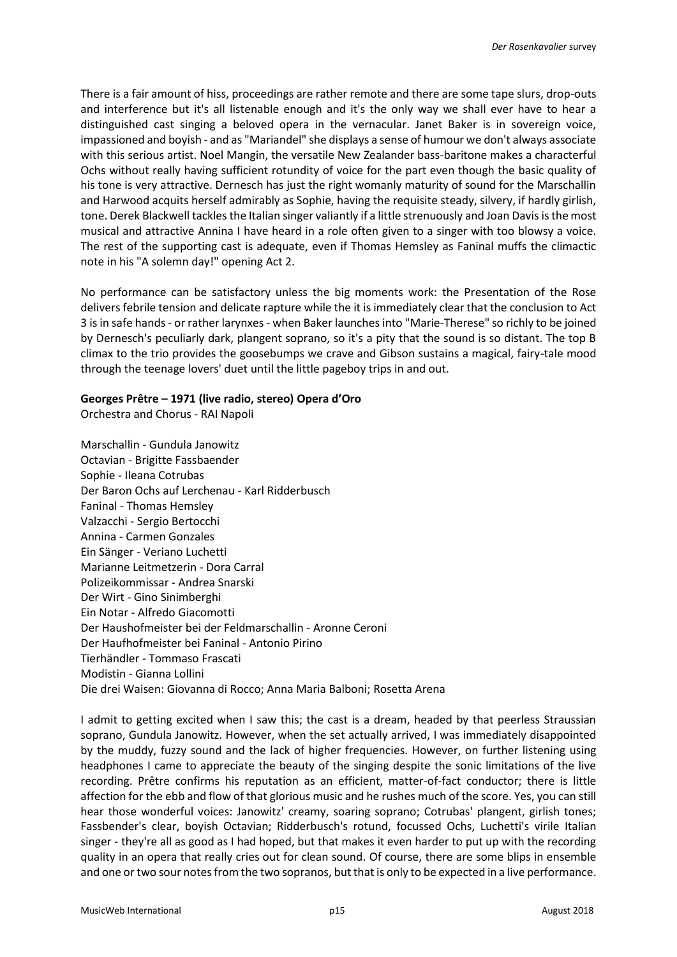There is a fair amount of hiss, proceedings are rather remote and there are some tape slurs, drop-outs and interference but it's all listenable enough and it's the only way we shall ever have to hear a distinguished cast singing a beloved opera in the vernacular. Janet Baker is in sovereign voice, impassioned and boyish - and as "Mariandel" she displays a sense of humour we don't always associate with this serious artist. Noel Mangin, the versatile New Zealander bass-baritone makes a characterful Ochs without really having sufficient rotundity of voice for the part even though the basic quality of his tone is very attractive. Dernesch has just the right womanly maturity of sound for the Marschallin and Harwood acquits herself admirably as Sophie, having the requisite steady, silvery, if hardly girlish, tone. Derek Blackwell tackles the Italian singer valiantly if a little strenuously and Joan Davisis the most musical and attractive Annina I have heard in a role often given to a singer with too blowsy a voice. The rest of the supporting cast is adequate, even if Thomas Hemsley as Faninal muffs the climactic note in his "A solemn day!" opening Act 2.

No performance can be satisfactory unless the big moments work: the Presentation of the Rose delivers febrile tension and delicate rapture while the it is immediately clear that the conclusion to Act 3 is in safe hands - or rather larynxes - when Baker launches into "Marie-Therese" so richly to be joined by Dernesch's peculiarly dark, plangent soprano, so it's a pity that the sound is so distant. The top B climax to the trio provides the goosebumps we crave and Gibson sustains a magical, fairy-tale mood through the teenage lovers' duet until the little pageboy trips in and out.

# **Georges Prêtre – 1971 (live radio, stereo) Opera d'Oro**

Orchestra and Chorus - RAI Napoli

Marschallin - Gundula Janowitz Octavian - Brigitte Fassbaender Sophie - Ileana Cotrubas Der Baron Ochs auf Lerchenau - Karl Ridderbusch Faninal - Thomas Hemsley Valzacchi - Sergio Bertocchi Annina - Carmen Gonzales Ein Sänger - Veriano Luchetti Marianne Leitmetzerin - Dora Carral Polizeikommissar - Andrea Snarski Der Wirt - Gino Sinimberghi Ein Notar - Alfredo Giacomotti Der Haushofmeister bei der Feldmarschallin - Aronne Ceroni Der Haufhofmeister bei Faninal - Antonio Pirino Tierhändler - Tommaso Frascati Modistin - Gianna Lollini Die drei Waisen: Giovanna di Rocco; Anna Maria Balboni; Rosetta Arena

I admit to getting excited when I saw this; the cast is a dream, headed by that peerless Straussian soprano, Gundula Janowitz. However, when the set actually arrived, I was immediately disappointed by the muddy, fuzzy sound and the lack of higher frequencies. However, on further listening using headphones I came to appreciate the beauty of the singing despite the sonic limitations of the live recording. Prêtre confirms his reputation as an efficient, matter-of-fact conductor; there is little affection for the ebb and flow of that glorious music and he rushes much of the score. Yes, you can still hear those wonderful voices: Janowitz' creamy, soaring soprano; Cotrubas' plangent, girlish tones; Fassbender's clear, boyish Octavian; Ridderbusch's rotund, focussed Ochs, Luchetti's virile Italian singer - they're all as good as I had hoped, but that makes it even harder to put up with the recording quality in an opera that really cries out for clean sound. Of course, there are some blips in ensemble and one or two sour notes from the two sopranos, but that is only to be expected in a live performance.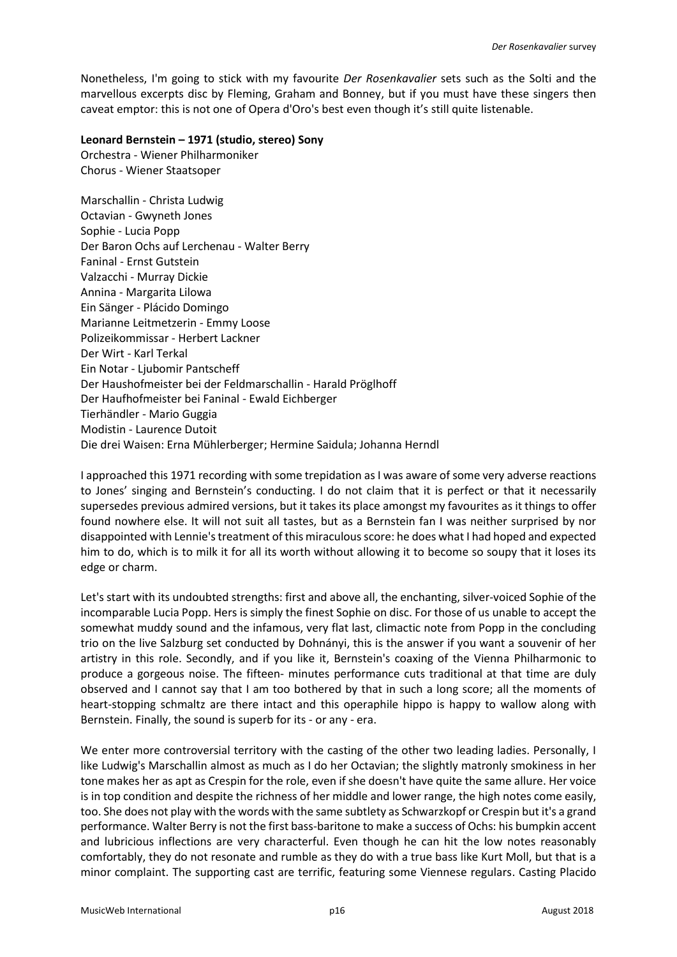Nonetheless, I'm going to stick with my favourite *Der Rosenkavalier* sets such as the Solti and the marvellous excerpts disc by Fleming, Graham and Bonney, but if you must have these singers then caveat emptor: this is not one of Opera d'Oro's best even though it's still quite listenable.

## **Leonard Bernstein – 1971 (studio, stereo) Sony**

Orchestra - Wiener Philharmoniker Chorus - Wiener Staatsoper

Marschallin - Christa Ludwig Octavian - Gwyneth Jones Sophie - Lucia Popp Der Baron Ochs auf Lerchenau - Walter Berry Faninal - Ernst Gutstein Valzacchi - Murray Dickie Annina - Margarita Lilowa Ein Sänger - Plácido Domingo Marianne Leitmetzerin - Emmy Loose Polizeikommissar - Herbert Lackner Der Wirt - Karl Terkal Ein Notar - Ljubomir Pantscheff Der Haushofmeister bei der Feldmarschallin - Harald Pröglhoff Der Haufhofmeister bei Faninal - Ewald Eichberger Tierhändler - Mario Guggia Modistin - Laurence Dutoit Die drei Waisen: Erna Mühlerberger; Hermine Saidula; Johanna Herndl

I approached this 1971 recording with some trepidation as I was aware of some very adverse reactions to Jones' singing and Bernstein's conducting. I do not claim that it is perfect or that it necessarily supersedes previous admired versions, but it takes its place amongst my favourites as it things to offer found nowhere else. It will not suit all tastes, but as a Bernstein fan I was neither surprised by nor disappointed with Lennie's treatment of this miraculous score: he does what I had hoped and expected him to do, which is to milk it for all its worth without allowing it to become so soupy that it loses its edge or charm.

Let's start with its undoubted strengths: first and above all, the enchanting, silver-voiced Sophie of the incomparable Lucia Popp. Hers is simply the finest Sophie on disc. For those of us unable to accept the somewhat muddy sound and the infamous, very flat last, climactic note from Popp in the concluding trio on the live Salzburg set conducted by Dohnányi, this is the answer if you want a souvenir of her artistry in this role. Secondly, and if you like it, Bernstein's coaxing of the Vienna Philharmonic to produce a gorgeous noise. The fifteen- minutes performance cuts traditional at that time are duly observed and I cannot say that I am too bothered by that in such a long score; all the moments of heart-stopping schmaltz are there intact and this operaphile hippo is happy to wallow along with Bernstein. Finally, the sound is superb for its - or any - era.

We enter more controversial territory with the casting of the other two leading ladies. Personally, I like Ludwig's Marschallin almost as much as I do her Octavian; the slightly matronly smokiness in her tone makes her as apt as Crespin for the role, even if she doesn't have quite the same allure. Her voice is in top condition and despite the richness of her middle and lower range, the high notes come easily, too. She does not play with the words with the same subtlety as Schwarzkopf or Crespin but it's a grand performance. Walter Berry is not the first bass-baritone to make a success of Ochs: his bumpkin accent and lubricious inflections are very characterful. Even though he can hit the low notes reasonably comfortably, they do not resonate and rumble as they do with a true bass like Kurt Moll, but that is a minor complaint. The supporting cast are terrific, featuring some Viennese regulars. Casting Placido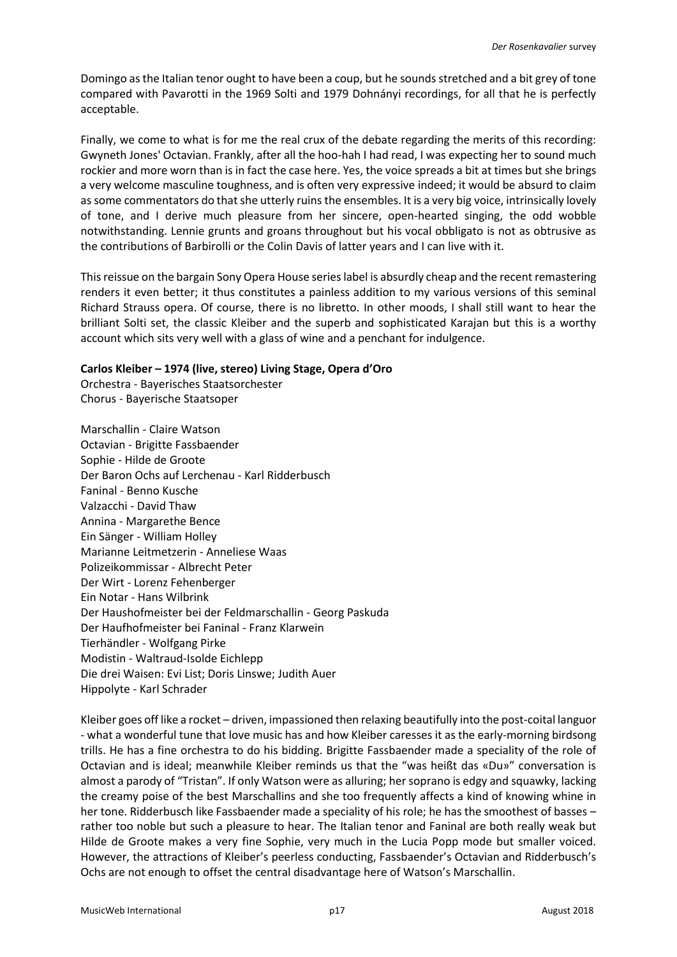Domingo as the Italian tenor ought to have been a coup, but he sounds stretched and a bit grey of tone compared with Pavarotti in the 1969 Solti and 1979 Dohnányi recordings, for all that he is perfectly acceptable.

Finally, we come to what is for me the real crux of the debate regarding the merits of this recording: Gwyneth Jones' Octavian. Frankly, after all the hoo-hah I had read, I was expecting her to sound much rockier and more worn than is in fact the case here. Yes, the voice spreads a bit at times but she brings a very welcome masculine toughness, and is often very expressive indeed; it would be absurd to claim as some commentators do that she utterly ruins the ensembles. It is a very big voice, intrinsically lovely of tone, and I derive much pleasure from her sincere, open-hearted singing, the odd wobble notwithstanding. Lennie grunts and groans throughout but his vocal obbligato is not as obtrusive as the contributions of Barbirolli or the Colin Davis of latter years and I can live with it.

This reissue on the bargain Sony Opera House series label is absurdly cheap and the recent remastering renders it even better; it thus constitutes a painless addition to my various versions of this seminal Richard Strauss opera. Of course, there is no libretto. In other moods, I shall still want to hear the brilliant Solti set, the classic Kleiber and the superb and sophisticated Karajan but this is a worthy account which sits very well with a glass of wine and a penchant for indulgence.

## **Carlos Kleiber – 1974 (live, stereo) Living Stage, Opera d'Oro**

Orchestra - Bayerisches Staatsorchester Chorus - Bayerische Staatsoper

Marschallin - Claire Watson Octavian - Brigitte Fassbaender Sophie - Hilde de Groote Der Baron Ochs auf Lerchenau - Karl Ridderbusch Faninal - Benno Kusche Valzacchi - David Thaw Annina - Margarethe Bence Ein Sänger - William Holley Marianne Leitmetzerin - Anneliese Waas Polizeikommissar - Albrecht Peter Der Wirt - Lorenz Fehenberger Ein Notar - Hans Wilbrink Der Haushofmeister bei der Feldmarschallin - Georg Paskuda Der Haufhofmeister bei Faninal - Franz Klarwein Tierhändler - Wolfgang Pirke Modistin - Waltraud-Isolde Eichlepp Die drei Waisen: Evi List; Doris Linswe; Judith Auer Hippolyte - Karl Schrader

Kleiber goes off like a rocket – driven, impassioned then relaxing beautifully into the post-coital languor - what a wonderful tune that love music has and how Kleiber caresses it as the early-morning birdsong trills. He has a fine orchestra to do his bidding. Brigitte Fassbaender made a speciality of the role of Octavian and is ideal; meanwhile Kleiber reminds us that the "was heißt das «Du»" conversation is almost a parody of "Tristan". If only Watson were as alluring; her soprano is edgy and squawky, lacking the creamy poise of the best Marschallins and she too frequently affects a kind of knowing whine in her tone. Ridderbusch like Fassbaender made a speciality of his role; he has the smoothest of basses – rather too noble but such a pleasure to hear. The Italian tenor and Faninal are both really weak but Hilde de Groote makes a very fine Sophie, very much in the Lucia Popp mode but smaller voiced. However, the attractions of Kleiber's peerless conducting, Fassbaender's Octavian and Ridderbusch's Ochs are not enough to offset the central disadvantage here of Watson's Marschallin.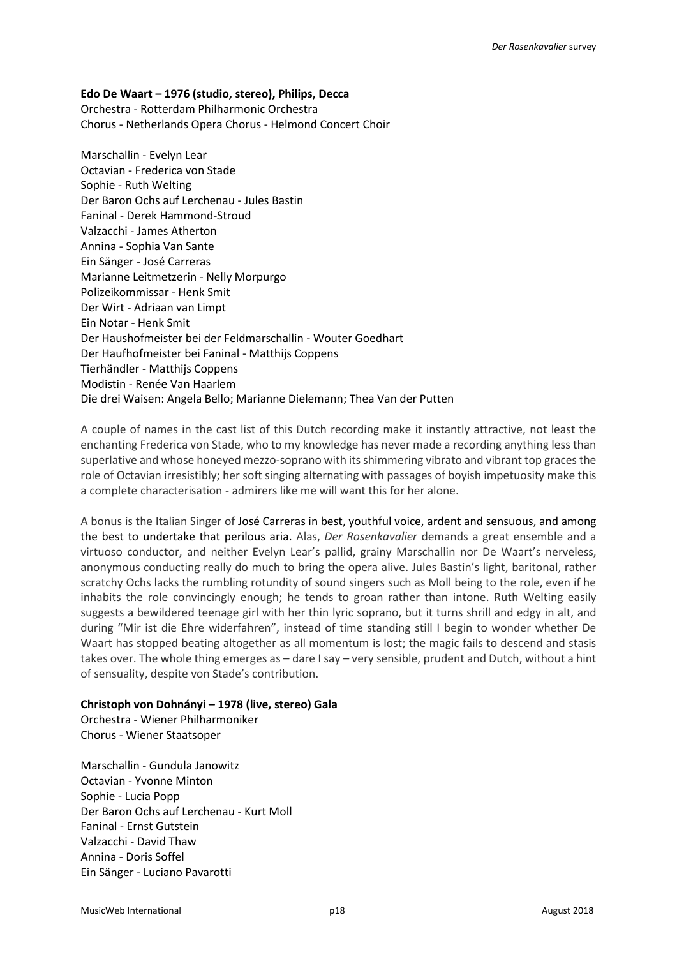## **Edo De Waart – 1976 (studio, stereo), Philips, Decca**

Orchestra - Rotterdam Philharmonic Orchestra Chorus - Netherlands Opera Chorus - Helmond Concert Choir

Marschallin - Evelyn Lear Octavian - Frederica von Stade Sophie - Ruth Welting Der Baron Ochs auf Lerchenau - Jules Bastin Faninal - Derek Hammond-Stroud Valzacchi - James Atherton Annina - Sophia Van Sante Ein Sänger - José Carreras Marianne Leitmetzerin - Nelly Morpurgo Polizeikommissar - Henk Smit Der Wirt - Adriaan van Limpt Ein Notar - Henk Smit Der Haushofmeister bei der Feldmarschallin - Wouter Goedhart Der Haufhofmeister bei Faninal - Matthijs Coppens Tierhändler - Matthijs Coppens Modistin - Renée Van Haarlem Die drei Waisen: Angela Bello; Marianne Dielemann; Thea Van der Putten

A couple of names in the cast list of this Dutch recording make it instantly attractive, not least the enchanting Frederica von Stade, who to my knowledge has never made a recording anything less than superlative and whose honeyed mezzo-soprano with its shimmering vibrato and vibrant top graces the role of Octavian irresistibly; her soft singing alternating with passages of boyish impetuosity make this a complete characterisation - admirers like me will want this for her alone.

A bonus is the Italian Singer of José Carreras in best, youthful voice, ardent and sensuous, and among the best to undertake that perilous aria. Alas, *Der Rosenkavalier* demands a great ensemble and a virtuoso conductor, and neither Evelyn Lear's pallid, grainy Marschallin nor De Waart's nerveless, anonymous conducting really do much to bring the opera alive. Jules Bastin's light, baritonal, rather scratchy Ochs lacks the rumbling rotundity of sound singers such as Moll being to the role, even if he inhabits the role convincingly enough; he tends to groan rather than intone. Ruth Welting easily suggests a bewildered teenage girl with her thin lyric soprano, but it turns shrill and edgy in alt, and during "Mir ist die Ehre widerfahren", instead of time standing still I begin to wonder whether De Waart has stopped beating altogether as all momentum is lost; the magic fails to descend and stasis takes over. The whole thing emerges as – dare I say – very sensible, prudent and Dutch, without a hint of sensuality, despite von Stade's contribution.

### **Christoph von Dohnányi – 1978 (live, stereo) Gala**

Orchestra - Wiener Philharmoniker Chorus - Wiener Staatsoper

Marschallin - Gundula Janowitz Octavian - Yvonne Minton Sophie - Lucia Popp Der Baron Ochs auf Lerchenau - Kurt Moll Faninal - Ernst Gutstein Valzacchi - David Thaw Annina - Doris Soffel Ein Sänger - Luciano Pavarotti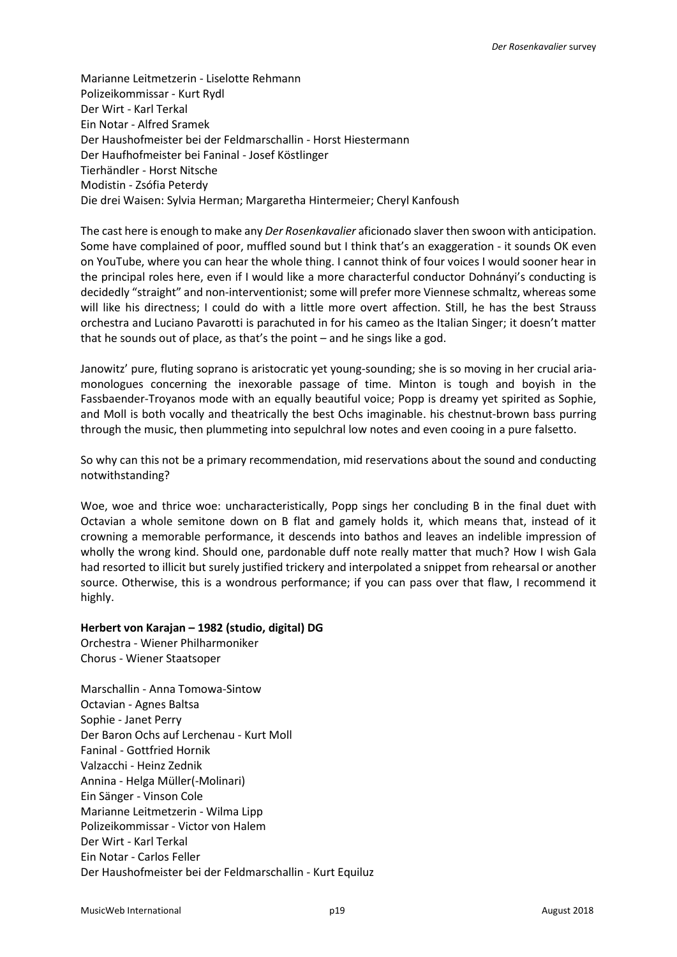Marianne Leitmetzerin - Liselotte Rehmann Polizeikommissar - Kurt Rydl Der Wirt - Karl Terkal Ein Notar - Alfred Sramek Der Haushofmeister bei der Feldmarschallin - Horst Hiestermann Der Haufhofmeister bei Faninal - Josef Köstlinger Tierhändler - Horst Nitsche Modistin - Zsófia Peterdy Die drei Waisen: Sylvia Herman; Margaretha Hintermeier; Cheryl Kanfoush

The cast here is enough to make any *Der Rosenkavalier* aficionado slaver then swoon with anticipation. Some have complained of poor, muffled sound but I think that's an exaggeration - it sounds OK even on YouTube, where you can hear the whole thing. I cannot think of four voices I would sooner hear in the principal roles here, even if I would like a more characterful conductor Dohnányi's conducting is decidedly "straight" and non-interventionist; some will prefer more Viennese schmaltz, whereas some will like his directness; I could do with a little more overt affection. Still, he has the best Strauss orchestra and Luciano Pavarotti is parachuted in for his cameo as the Italian Singer; it doesn't matter that he sounds out of place, as that's the point – and he sings like a god.

Janowitz' pure, fluting soprano is aristocratic yet young-sounding; she is so moving in her crucial ariamonologues concerning the inexorable passage of time. Minton is tough and boyish in the Fassbaender-Troyanos mode with an equally beautiful voice; Popp is dreamy yet spirited as Sophie, and Moll is both vocally and theatrically the best Ochs imaginable. his chestnut-brown bass purring through the music, then plummeting into sepulchral low notes and even cooing in a pure falsetto.

So why can this not be a primary recommendation, mid reservations about the sound and conducting notwithstanding?

Woe, woe and thrice woe: uncharacteristically, Popp sings her concluding B in the final duet with Octavian a whole semitone down on B flat and gamely holds it, which means that, instead of it crowning a memorable performance, it descends into bathos and leaves an indelible impression of wholly the wrong kind. Should one, pardonable duff note really matter that much? How I wish Gala had resorted to illicit but surely justified trickery and interpolated a snippet from rehearsal or another source. Otherwise, this is a wondrous performance; if you can pass over that flaw, I recommend it highly.

# **Herbert von Karajan – 1982 (studio, digital) DG**

Orchestra - Wiener Philharmoniker Chorus - Wiener Staatsoper

Marschallin - Anna Tomowa-Sintow Octavian - Agnes Baltsa Sophie - Janet Perry Der Baron Ochs auf Lerchenau - Kurt Moll Faninal - Gottfried Hornik Valzacchi - Heinz Zednik Annina - Helga Müller(-Molinari) Ein Sänger - Vinson Cole Marianne Leitmetzerin - Wilma Lipp Polizeikommissar - Victor von Halem Der Wirt - Karl Terkal Ein Notar - Carlos Feller Der Haushofmeister bei der Feldmarschallin - Kurt Equiluz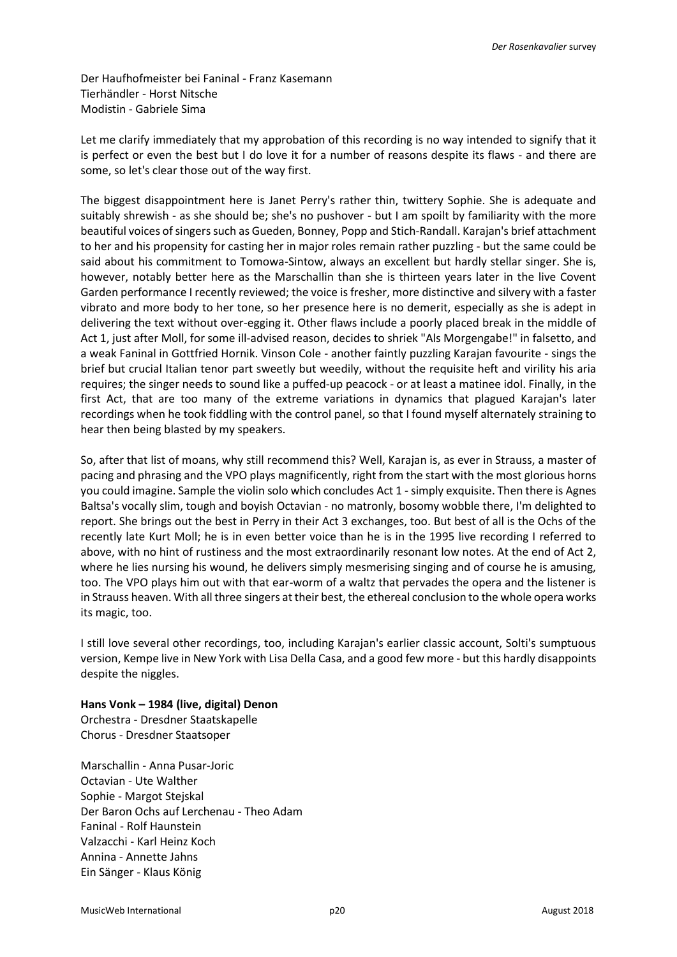Der Haufhofmeister bei Faninal - Franz Kasemann Tierhändler - Horst Nitsche Modistin - Gabriele Sima

Let me clarify immediately that my approbation of this recording is no way intended to signify that it is perfect or even the best but I do love it for a number of reasons despite its flaws - and there are some, so let's clear those out of the way first.

The biggest disappointment here is Janet Perry's rather thin, twittery Sophie. She is adequate and suitably shrewish - as she should be; she's no pushover - but I am spoilt by familiarity with the more beautiful voices of singers such as Gueden, Bonney, Popp and Stich-Randall. Karajan's brief attachment to her and his propensity for casting her in major roles remain rather puzzling - but the same could be said about his commitment to Tomowa-Sintow, always an excellent but hardly stellar singer. She is, however, notably better here as the Marschallin than she is thirteen years later in the live Covent Garden performance I recently reviewed; the voice is fresher, more distinctive and silvery with a faster vibrato and more body to her tone, so her presence here is no demerit, especially as she is adept in delivering the text without over-egging it. Other flaws include a poorly placed break in the middle of Act 1, just after Moll, for some ill-advised reason, decides to shriek "Als Morgengabe!" in falsetto, and a weak Faninal in Gottfried Hornik. Vinson Cole - another faintly puzzling Karajan favourite - sings the brief but crucial Italian tenor part sweetly but weedily, without the requisite heft and virility his aria requires; the singer needs to sound like a puffed-up peacock - or at least a matinee idol. Finally, in the first Act, that are too many of the extreme variations in dynamics that plagued Karajan's later recordings when he took fiddling with the control panel, so that I found myself alternately straining to hear then being blasted by my speakers.

So, after that list of moans, why still recommend this? Well, Karajan is, as ever in Strauss, a master of pacing and phrasing and the VPO plays magnificently, right from the start with the most glorious horns you could imagine. Sample the violin solo which concludes Act 1 - simply exquisite. Then there is Agnes Baltsa's vocally slim, tough and boyish Octavian - no matronly, bosomy wobble there, I'm delighted to report. She brings out the best in Perry in their Act 3 exchanges, too. But best of all is the Ochs of the recently late Kurt Moll; he is in even better voice than he is in the 1995 live recording I referred to above, with no hint of rustiness and the most extraordinarily resonant low notes. At the end of Act 2, where he lies nursing his wound, he delivers simply mesmerising singing and of course he is amusing, too. The VPO plays him out with that ear-worm of a waltz that pervades the opera and the listener is in Strauss heaven. With all three singers at their best, the ethereal conclusion to the whole opera works its magic, too.

I still love several other recordings, too, including Karajan's earlier classic account, Solti's sumptuous version, Kempe live in New York with Lisa Della Casa, and a good few more - but this hardly disappoints despite the niggles.

**Hans Vonk – 1984 (live, digital) Denon** Orchestra - Dresdner Staatskapelle Chorus - Dresdner Staatsoper

Marschallin - Anna Pusar-Joric Octavian - Ute Walther Sophie - Margot Stejskal Der Baron Ochs auf Lerchenau - Theo Adam Faninal - Rolf Haunstein Valzacchi - Karl Heinz Koch Annina - Annette Jahns Ein Sänger - Klaus König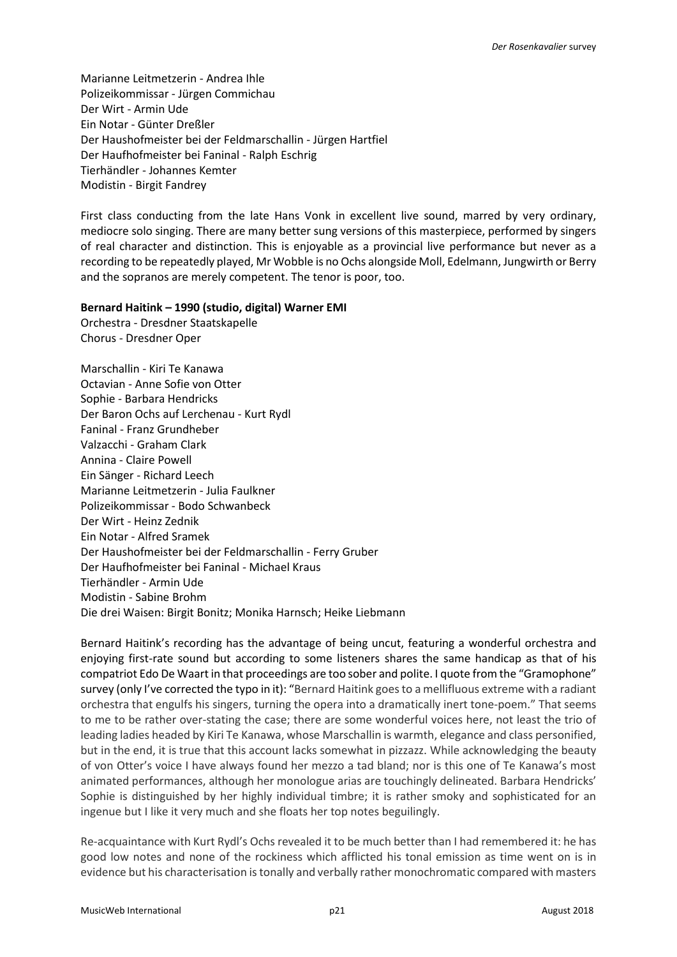Marianne Leitmetzerin - Andrea Ihle Polizeikommissar - Jürgen Commichau Der Wirt - Armin Ude Ein Notar - Günter Dreßler Der Haushofmeister bei der Feldmarschallin - Jürgen Hartfiel Der Haufhofmeister bei Faninal - Ralph Eschrig Tierhändler - Johannes Kemter Modistin - Birgit Fandrey

First class conducting from the late Hans Vonk in excellent live sound, marred by very ordinary, mediocre solo singing. There are many better sung versions of this masterpiece, performed by singers of real character and distinction. This is enjoyable as a provincial live performance but never as a recording to be repeatedly played, Mr Wobble is no Ochs alongside Moll, Edelmann, Jungwirth or Berry and the sopranos are merely competent. The tenor is poor, too.

### **Bernard Haitink – 1990 (studio, digital) Warner EMI**

Orchestra - Dresdner Staatskapelle Chorus - Dresdner Oper

Marschallin - Kiri Te Kanawa Octavian - Anne Sofie von Otter Sophie - Barbara Hendricks Der Baron Ochs auf Lerchenau - Kurt Rydl Faninal - Franz Grundheber Valzacchi - Graham Clark Annina - Claire Powell Ein Sänger - Richard Leech Marianne Leitmetzerin - Julia Faulkner Polizeikommissar - Bodo Schwanbeck Der Wirt - Heinz Zednik Ein Notar - Alfred Sramek Der Haushofmeister bei der Feldmarschallin - Ferry Gruber Der Haufhofmeister bei Faninal - Michael Kraus Tierhändler - Armin Ude Modistin - Sabine Brohm Die drei Waisen: Birgit Bonitz; Monika Harnsch; Heike Liebmann

Bernard Haitink's recording has the advantage of being uncut, featuring a wonderful orchestra and enjoying first-rate sound but according to some listeners shares the same handicap as that of his compatriot Edo De Waart in that proceedings are too sober and polite. I quote from the "Gramophone" survey (only I've corrected the typo in it): "Bernard Haitink goes to a mellifluous extreme with a radiant orchestra that engulfs his singers, turning the opera into a dramatically inert tone-poem." That seems to me to be rather over-stating the case; there are some wonderful voices here, not least the trio of leading ladies headed by Kiri Te Kanawa, whose Marschallin is warmth, elegance and class personified, but in the end, it is true that this account lacks somewhat in pizzazz. While acknowledging the beauty of von Otter's voice I have always found her mezzo a tad bland; nor is this one of Te Kanawa's most animated performances, although her monologue arias are touchingly delineated. Barbara Hendricks' Sophie is distinguished by her highly individual timbre; it is rather smoky and sophisticated for an ingenue but I like it very much and she floats her top notes beguilingly.

Re-acquaintance with Kurt Rydl's Ochs revealed it to be much better than I had remembered it: he has good low notes and none of the rockiness which afflicted his tonal emission as time went on is in evidence but his characterisation is tonally and verbally rather monochromatic compared with masters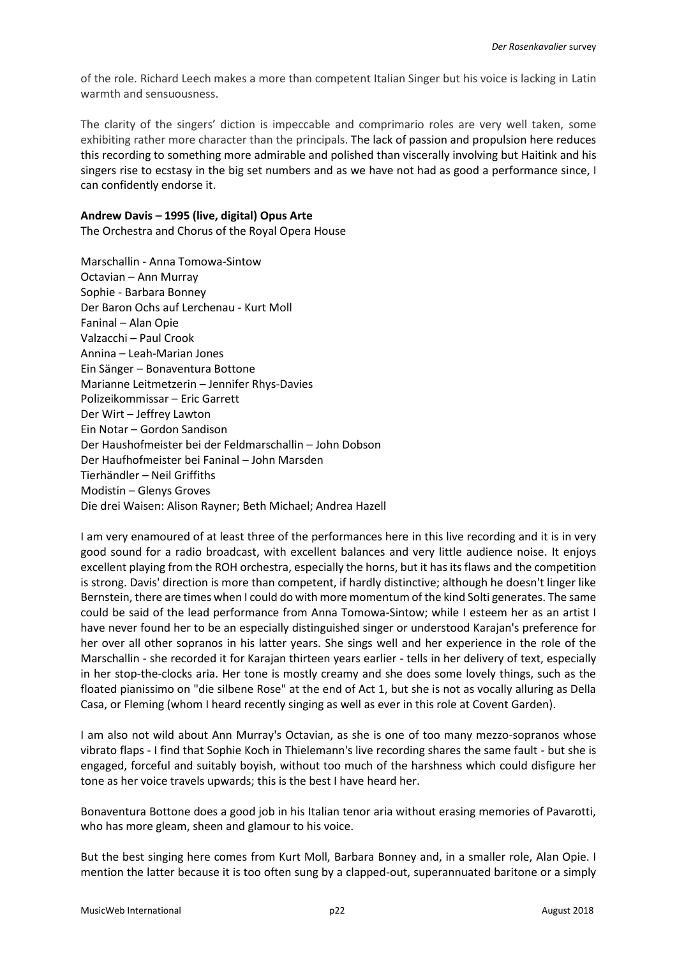of the role. Richard Leech makes a more than competent Italian Singer but his voice is lacking in Latin warmth and sensuousness.

The clarity of the singers' diction is impeccable and comprimario roles are very well taken, some exhibiting rather more character than the principals. The lack of passion and propulsion here reduces this recording to something more admirable and polished than viscerally involving but Haitink and his singers rise to ecstasy in the big set numbers and as we have not had as good a performance since, I can confidently endorse it.

### **Andrew Davis – 1995 (live, digital) Opus Arte**

The Orchestra and Chorus of the Royal Opera House

Marschallin - Anna Tomowa-Sintow Octavian – Ann Murray Sophie - Barbara Bonney Der Baron Ochs auf Lerchenau - Kurt Moll Faninal – Alan Opie Valzacchi – Paul Crook Annina – Leah-Marian Jones Ein Sänger – Bonaventura Bottone Marianne Leitmetzerin – Jennifer Rhys-Davies Polizeikommissar – Eric Garrett Der Wirt – Jeffrey Lawton Ein Notar – Gordon Sandison Der Haushofmeister bei der Feldmarschallin – John Dobson Der Haufhofmeister bei Faninal – John Marsden Tierhändler – Neil Griffiths Modistin – Glenys Groves Die drei Waisen: Alison Rayner; Beth Michael; Andrea Hazell

I am very enamoured of at least three of the performances here in this live recording and it is in very good sound for a radio broadcast, with excellent balances and very little audience noise. It enjoys excellent playing from the ROH orchestra, especially the horns, but it has its flaws and the competition is strong. Davis' direction is more than competent, if hardly distinctive; although he doesn't linger like Bernstein, there are times when I could do with more momentum of the kind Solti generates. The same could be said of the lead performance from Anna Tomowa-Sintow; while I esteem her as an artist I have never found her to be an especially distinguished singer or understood Karajan's preference for her over all other sopranos in his latter years. She sings well and her experience in the role of the Marschallin - she recorded it for Karajan thirteen years earlier - tells in her delivery of text, especially in her stop-the-clocks aria. Her tone is mostly creamy and she does some lovely things, such as the floated pianissimo on "die silbene Rose" at the end of Act 1, but she is not as vocally alluring as Della Casa, or Fleming (whom I heard recently singing as well as ever in this role at Covent Garden).

I am also not wild about Ann Murray's Octavian, as she is one of too many mezzo-sopranos whose vibrato flaps - I find that Sophie Koch in Thielemann's live recording shares the same fault - but she is engaged, forceful and suitably boyish, without too much of the harshness which could disfigure her tone as her voice travels upwards; this is the best I have heard her.

Bonaventura Bottone does a good job in his Italian tenor aria without erasing memories of Pavarotti, who has more gleam, sheen and glamour to his voice.

But the best singing here comes from Kurt Moll, Barbara Bonney and, in a smaller role, Alan Opie. I mention the latter because it is too often sung by a clapped-out, superannuated baritone or a simply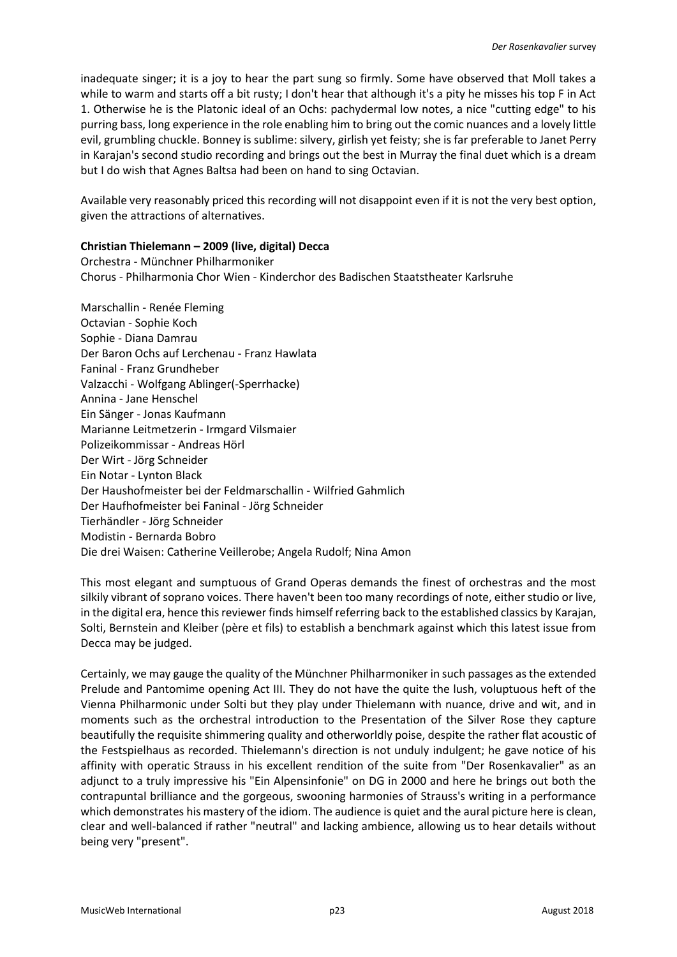inadequate singer; it is a joy to hear the part sung so firmly. Some have observed that Moll takes a while to warm and starts off a bit rusty; I don't hear that although it's a pity he misses his top F in Act 1. Otherwise he is the Platonic ideal of an Ochs: pachydermal low notes, a nice "cutting edge" to his purring bass, long experience in the role enabling him to bring out the comic nuances and a lovely little evil, grumbling chuckle. Bonney is sublime: silvery, girlish yet feisty; she is far preferable to Janet Perry in Karajan's second studio recording and brings out the best in Murray the final duet which is a dream but I do wish that Agnes Baltsa had been on hand to sing Octavian.

Available very reasonably priced this recording will not disappoint even if it is not the very best option, given the attractions of alternatives.

## **Christian Thielemann – 2009 (live, digital) Decca**

Orchestra - Münchner Philharmoniker Chorus - Philharmonia Chor Wien - Kinderchor des Badischen Staatstheater Karlsruhe

Marschallin - Renée Fleming Octavian - Sophie Koch Sophie - Diana Damrau Der Baron Ochs auf Lerchenau - Franz Hawlata Faninal - Franz Grundheber Valzacchi - Wolfgang Ablinger(-Sperrhacke) Annina - Jane Henschel Ein Sänger - Jonas Kaufmann Marianne Leitmetzerin - Irmgard Vilsmaier Polizeikommissar - Andreas Hörl Der Wirt - Jörg Schneider Ein Notar - Lynton Black Der Haushofmeister bei der Feldmarschallin - Wilfried Gahmlich Der Haufhofmeister bei Faninal - Jörg Schneider Tierhändler - Jörg Schneider Modistin - Bernarda Bobro Die drei Waisen: Catherine Veillerobe; Angela Rudolf; Nina Amon

This most elegant and sumptuous of Grand Operas demands the finest of orchestras and the most silkily vibrant of soprano voices. There haven't been too many recordings of note, either studio or live, in the digital era, hence this reviewer finds himself referring back to the established classics by Karajan, Solti, Bernstein and Kleiber (père et fils) to establish a benchmark against which this latest issue from Decca may be judged.

Certainly, we may gauge the quality of the Münchner Philharmoniker in such passages as the extended Prelude and Pantomime opening Act III. They do not have the quite the lush, voluptuous heft of the Vienna Philharmonic under Solti but they play under Thielemann with nuance, drive and wit, and in moments such as the orchestral introduction to the Presentation of the Silver Rose they capture beautifully the requisite shimmering quality and otherworldly poise, despite the rather flat acoustic of the Festspielhaus as recorded. Thielemann's direction is not unduly indulgent; he gave notice of his affinity with operatic Strauss in his excellent rendition of the suite from "Der Rosenkavalier" as an adjunct to a truly impressive his "Ein Alpensinfonie" on DG in 2000 and here he brings out both the contrapuntal brilliance and the gorgeous, swooning harmonies of Strauss's writing in a performance which demonstrates his mastery of the idiom. The audience is quiet and the aural picture here is clean, clear and well-balanced if rather "neutral" and lacking ambience, allowing us to hear details without being very "present".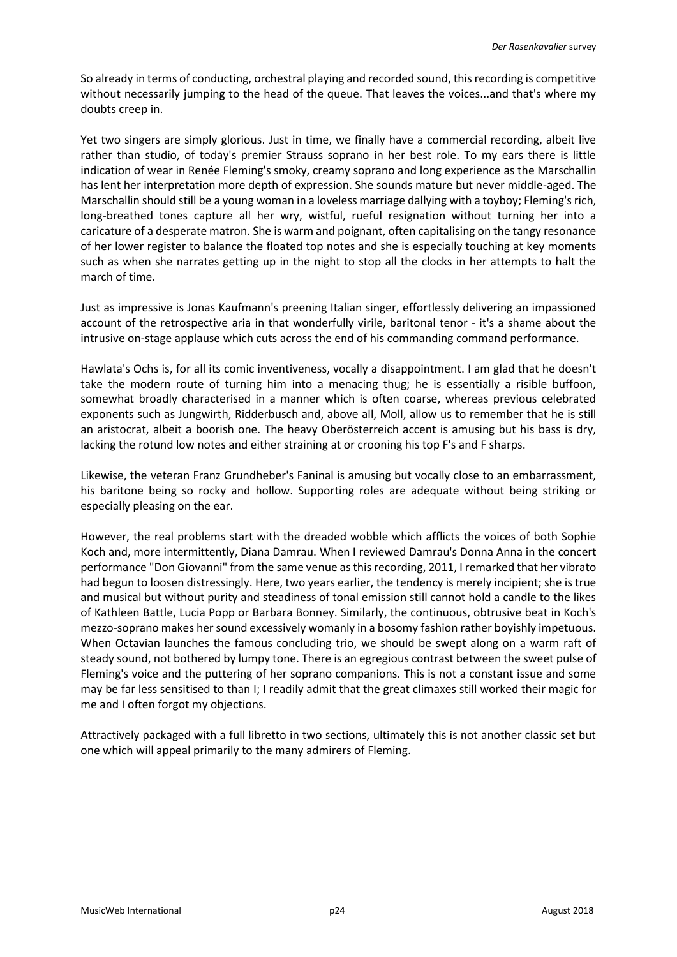So already in terms of conducting, orchestral playing and recorded sound, this recording is competitive without necessarily jumping to the head of the queue. That leaves the voices...and that's where my doubts creep in.

Yet two singers are simply glorious. Just in time, we finally have a commercial recording, albeit live rather than studio, of today's premier Strauss soprano in her best role. To my ears there is little indication of wear in Renée Fleming's smoky, creamy soprano and long experience as the Marschallin has lent her interpretation more depth of expression. She sounds mature but never middle-aged. The Marschallin should still be a young woman in a loveless marriage dallying with a toyboy; Fleming's rich, long-breathed tones capture all her wry, wistful, rueful resignation without turning her into a caricature of a desperate matron. She is warm and poignant, often capitalising on the tangy resonance of her lower register to balance the floated top notes and she is especially touching at key moments such as when she narrates getting up in the night to stop all the clocks in her attempts to halt the march of time.

Just as impressive is Jonas Kaufmann's preening Italian singer, effortlessly delivering an impassioned account of the retrospective aria in that wonderfully virile, baritonal tenor - it's a shame about the intrusive on-stage applause which cuts across the end of his commanding command performance.

Hawlata's Ochs is, for all its comic inventiveness, vocally a disappointment. I am glad that he doesn't take the modern route of turning him into a menacing thug; he is essentially a risible buffoon, somewhat broadly characterised in a manner which is often coarse, whereas previous celebrated exponents such as Jungwirth, Ridderbusch and, above all, Moll, allow us to remember that he is still an aristocrat, albeit a boorish one. The heavy Oberösterreich accent is amusing but his bass is dry, lacking the rotund low notes and either straining at or crooning his top F's and F sharps.

Likewise, the veteran Franz Grundheber's Faninal is amusing but vocally close to an embarrassment, his baritone being so rocky and hollow. Supporting roles are adequate without being striking or especially pleasing on the ear.

However, the real problems start with the dreaded wobble which afflicts the voices of both Sophie Koch and, more intermittently, Diana Damrau. When I reviewed Damrau's Donna Anna in the concert performance "Don Giovanni" from the same venue as this recording, 2011, I remarked that her vibrato had begun to loosen distressingly. Here, two years earlier, the tendency is merely incipient; she is true and musical but without purity and steadiness of tonal emission still cannot hold a candle to the likes of Kathleen Battle, Lucia Popp or Barbara Bonney. Similarly, the continuous, obtrusive beat in Koch's mezzo-soprano makes her sound excessively womanly in a bosomy fashion rather boyishly impetuous. When Octavian launches the famous concluding trio, we should be swept along on a warm raft of steady sound, not bothered by lumpy tone. There is an egregious contrast between the sweet pulse of Fleming's voice and the puttering of her soprano companions. This is not a constant issue and some may be far less sensitised to than I; I readily admit that the great climaxes still worked their magic for me and I often forgot my objections.

Attractively packaged with a full libretto in two sections, ultimately this is not another classic set but one which will appeal primarily to the many admirers of Fleming.